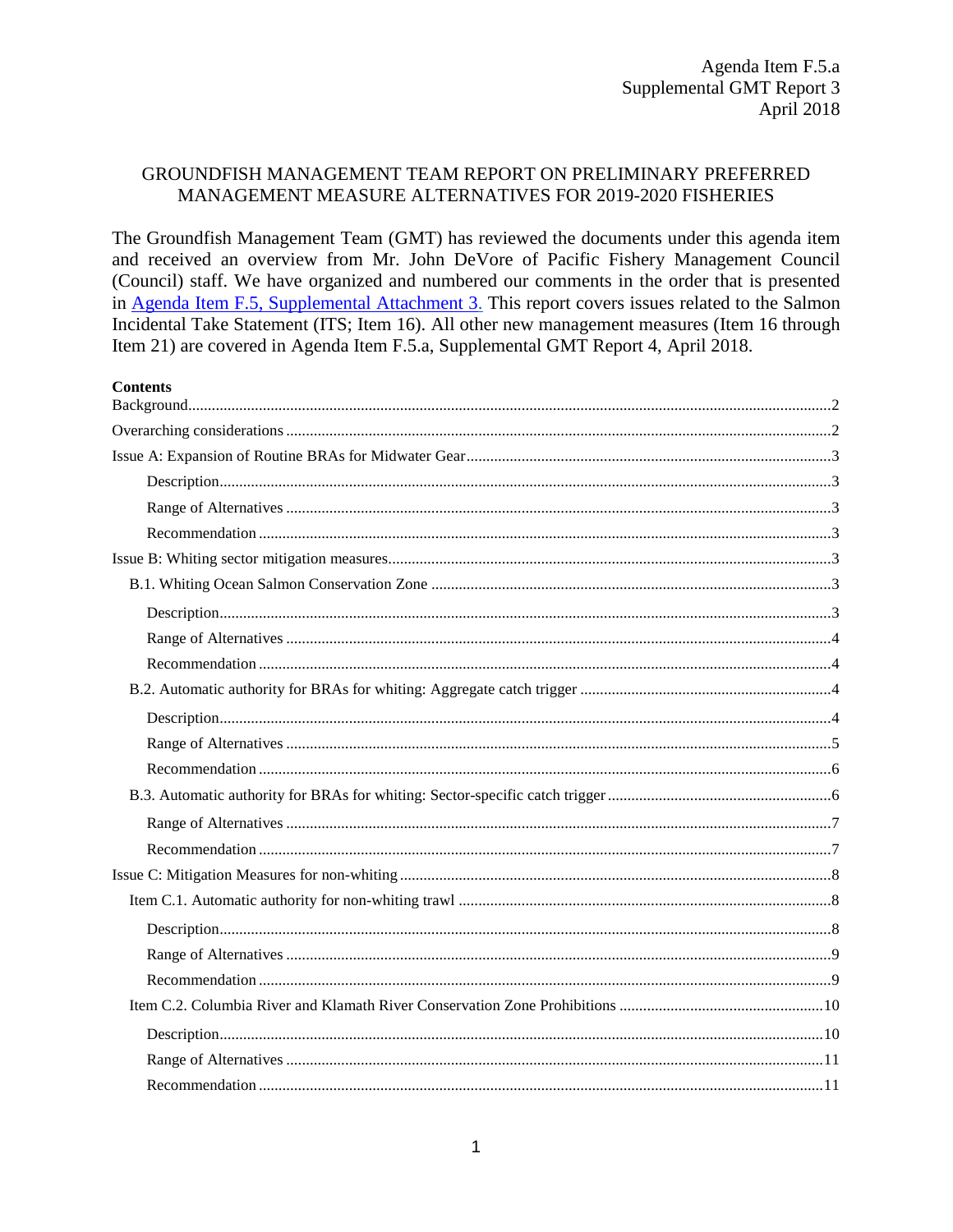#### GROUNDFISH MANAGEMENT TEAM REPORT ON PRELIMINARY PREFERRED MANAGEMENT MEASURE ALTERNATIVES FOR 2019-2020 FISHERIES

The Groundfish Management Team (GMT) has reviewed the documents under this agenda item and received an overview from Mr. John DeVore of Pacific Fishery Management Council (Council) staff. We have organized and numbered our comments in the order that is presented in Agenda Item F.5, Supplemental Attachment 3. This report covers issues related to the Salmon Incidental Take Statement (ITS; Item 16). All other new management measures (Item 16 through Item 21) are covered in Agenda Item F.5.a, Supplemental GMT Report 4, April 2018.

| <b>Contents</b> |  |
|-----------------|--|
|                 |  |
|                 |  |
|                 |  |
|                 |  |
|                 |  |
|                 |  |
|                 |  |
|                 |  |
|                 |  |
|                 |  |
|                 |  |
|                 |  |
|                 |  |
|                 |  |
|                 |  |
|                 |  |
|                 |  |
|                 |  |
|                 |  |
|                 |  |
|                 |  |
|                 |  |
|                 |  |
|                 |  |
|                 |  |
|                 |  |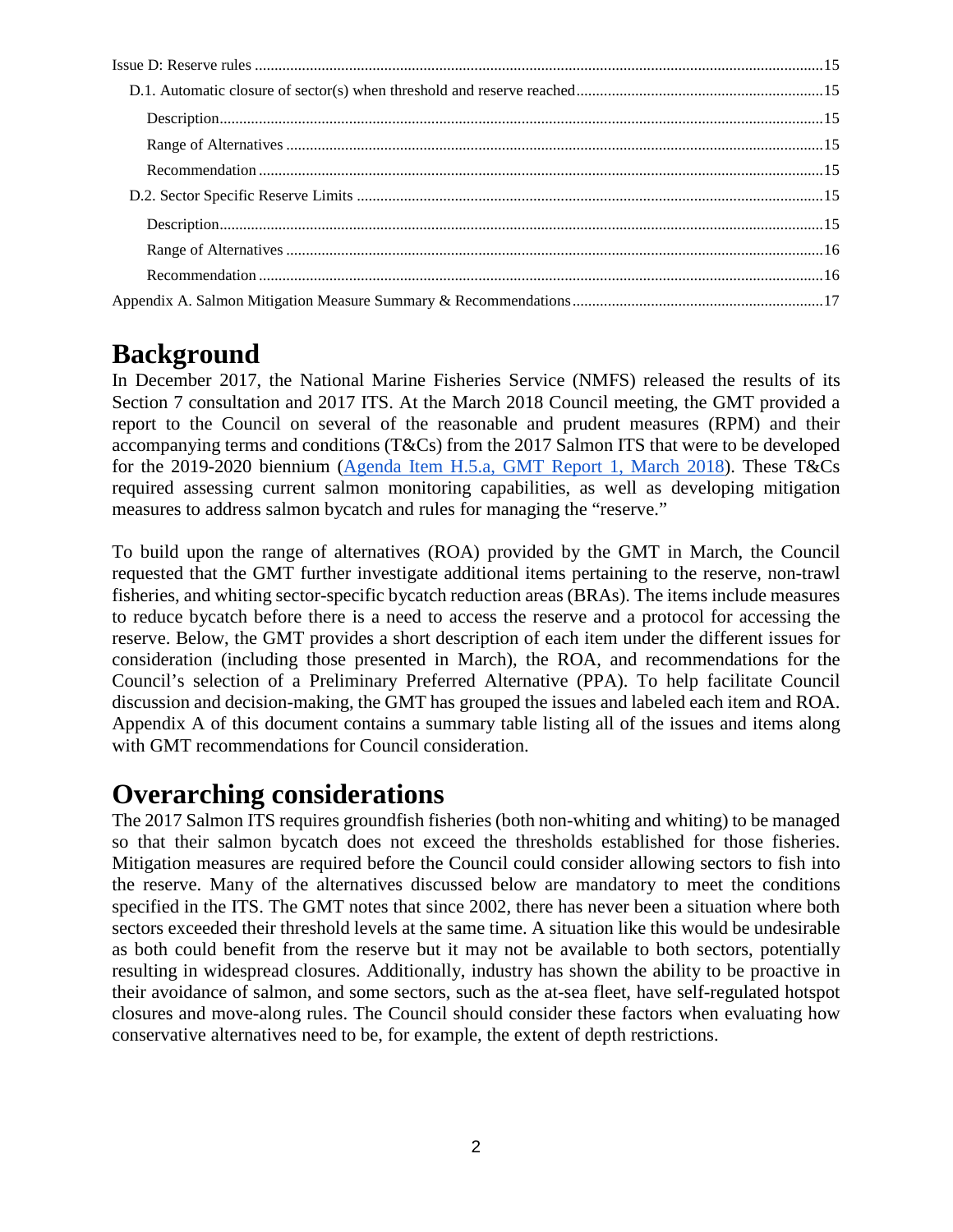## <span id="page-1-0"></span>**Background**

In December 2017, the National Marine Fisheries Service (NMFS) released the results of its Section 7 consultation and 2017 ITS. At the March 2018 Council meeting, the GMT provided a report to the Council on several of the reasonable and prudent measures (RPM) and their accompanying terms and conditions (T&Cs) from the 2017 Salmon ITS that were to be developed for the 2019-2020 biennium [\(Agenda Item H.5.a, GMT Report 1, March 2018\)](https://www.pcouncil.org/wp-content/uploads/2018/02/H5a_GMT_Rpt1_Mar2018BB.pdf). These T&Cs required assessing current salmon monitoring capabilities, as well as developing mitigation measures to address salmon bycatch and rules for managing the "reserve."

To build upon the range of alternatives (ROA) provided by the GMT in March, the Council requested that the GMT further investigate additional items pertaining to the reserve, non-trawl fisheries, and whiting sector-specific bycatch reduction areas (BRAs). The items include measures to reduce bycatch before there is a need to access the reserve and a protocol for accessing the reserve. Below, the GMT provides a short description of each item under the different issues for consideration (including those presented in March), the ROA, and recommendations for the Council's selection of a Preliminary Preferred Alternative (PPA). To help facilitate Council discussion and decision-making, the GMT has grouped the issues and labeled each item and ROA. Appendix A of this document contains a summary table listing all of the issues and items along with GMT recommendations for Council consideration.

## <span id="page-1-1"></span>**Overarching considerations**

The 2017 Salmon ITS requires groundfish fisheries (both non-whiting and whiting) to be managed so that their salmon bycatch does not exceed the thresholds established for those fisheries. Mitigation measures are required before the Council could consider allowing sectors to fish into the reserve. Many of the alternatives discussed below are mandatory to meet the conditions specified in the ITS. The GMT notes that since 2002, there has never been a situation where both sectors exceeded their threshold levels at the same time. A situation like this would be undesirable as both could benefit from the reserve but it may not be available to both sectors, potentially resulting in widespread closures. Additionally, industry has shown the ability to be proactive in their avoidance of salmon, and some sectors, such as the at-sea fleet, have self-regulated hotspot closures and move-along rules. The Council should consider these factors when evaluating how conservative alternatives need to be, for example, the extent of depth restrictions.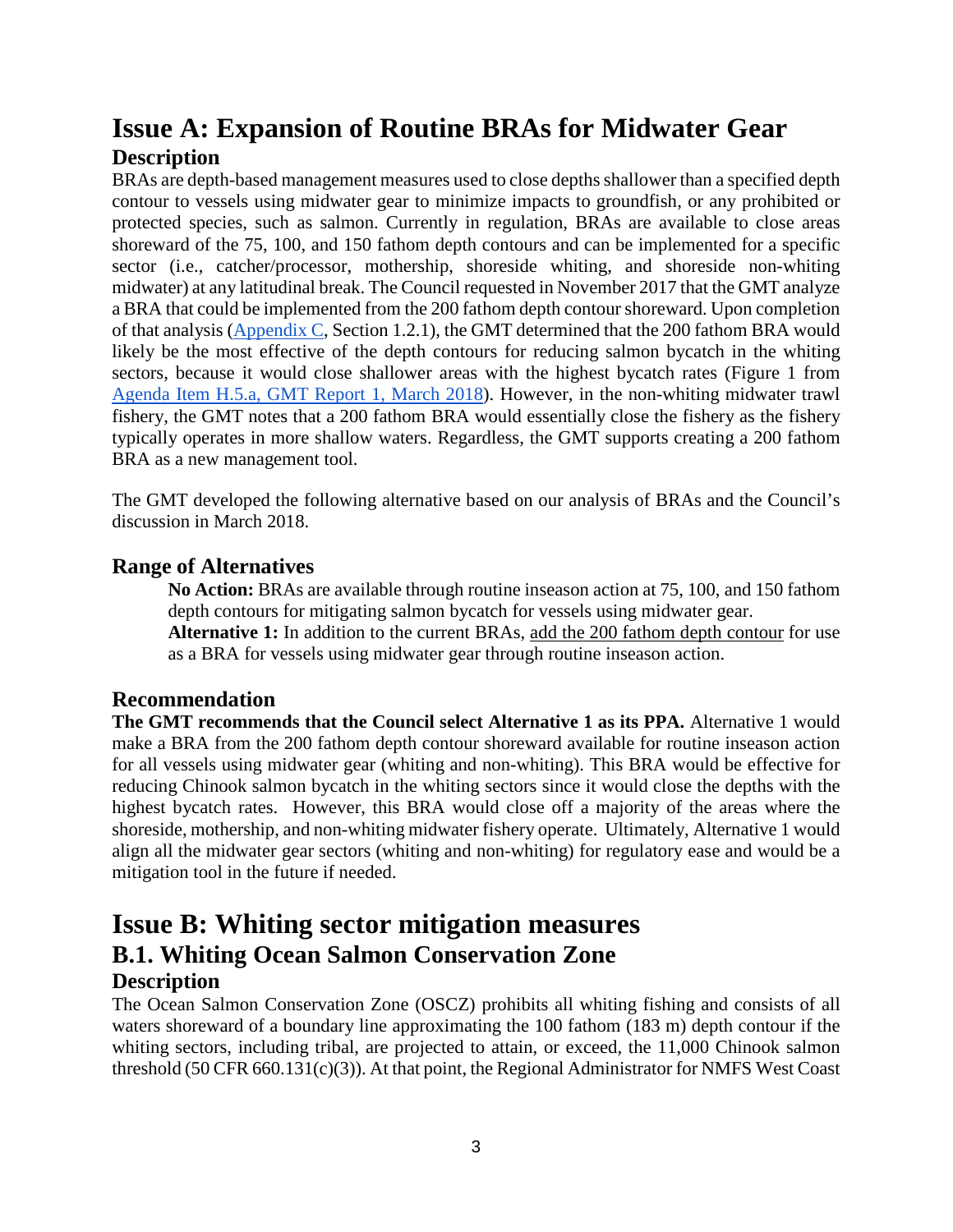## <span id="page-2-0"></span>**Issue A: Expansion of Routine BRAs for Midwater Gear Description**

<span id="page-2-1"></span>BRAs are depth-based management measures used to close depths shallower than a specified depth contour to vessels using midwater gear to minimize impacts to groundfish, or any prohibited or protected species, such as salmon. Currently in regulation, BRAs are available to close areas shoreward of the 75, 100, and 150 fathom depth contours and can be implemented for a specific sector (i.e., catcher/processor, mothership, shoreside whiting, and shoreside non-whiting midwater) at any latitudinal break. The Council requested in November 2017 that the GMT analyze a BRA that could be implemented from the 200 fathom depth contour shoreward. Upon completion of that analysis [\(Appendix C,](https://www.pcouncil.org/wp-content/uploads/2018/03/F5_Att2_Appendix_C_New_Management_Measures_1804_Apr2018BB.pdf) Section 1.2.1), the GMT determined that the 200 fathom BRA would likely be the most effective of the depth contours for reducing salmon bycatch in the whiting sectors, because it would close shallower areas with the highest bycatch rates (Figure 1 from [Agenda Item H.5.a, GMT Report 1, March 2018\)](https://www.pcouncil.org/wp-content/uploads/2018/02/H5a_GMT_Rpt1_Mar2018BB.pdf). However, in the non-whiting midwater trawl fishery, the GMT notes that a 200 fathom BRA would essentially close the fishery as the fishery typically operates in more shallow waters. Regardless, the GMT supports creating a 200 fathom BRA as a new management tool.

The GMT developed the following alternative based on our analysis of BRAs and the Council's discussion in March 2018.

### <span id="page-2-2"></span>**Range of Alternatives**

**No Action:** BRAs are available through routine inseason action at 75, 100, and 150 fathom depth contours for mitigating salmon bycatch for vessels using midwater gear.

**Alternative 1:** In addition to the current BRAs, add the 200 fathom depth contour for use as a BRA for vessels using midwater gear through routine inseason action.

### <span id="page-2-3"></span>**Recommendation**

**The GMT recommends that the Council select Alternative 1 as its PPA.** Alternative 1 would make a BRA from the 200 fathom depth contour shoreward available for routine inseason action for all vessels using midwater gear (whiting and non-whiting). This BRA would be effective for reducing Chinook salmon bycatch in the whiting sectors since it would close the depths with the highest bycatch rates. However, this BRA would close off a majority of the areas where the shoreside, mothership, and non-whiting midwater fishery operate. Ultimately, Alternative 1 would align all the midwater gear sectors (whiting and non-whiting) for regulatory ease and would be a mitigation tool in the future if needed.

### <span id="page-2-5"></span><span id="page-2-4"></span>**Issue B: Whiting sector mitigation measures B.1. Whiting Ocean Salmon Conservation Zone Description**

<span id="page-2-6"></span>The Ocean Salmon Conservation Zone (OSCZ) prohibits all whiting fishing and consists of all waters shoreward of a boundary line approximating the 100 fathom (183 m) depth contour if the whiting sectors, including tribal, are projected to attain, or exceed, the 11,000 Chinook salmon threshold (50 CFR 660.131(c)(3)). At that point, the Regional Administrator for NMFS West Coast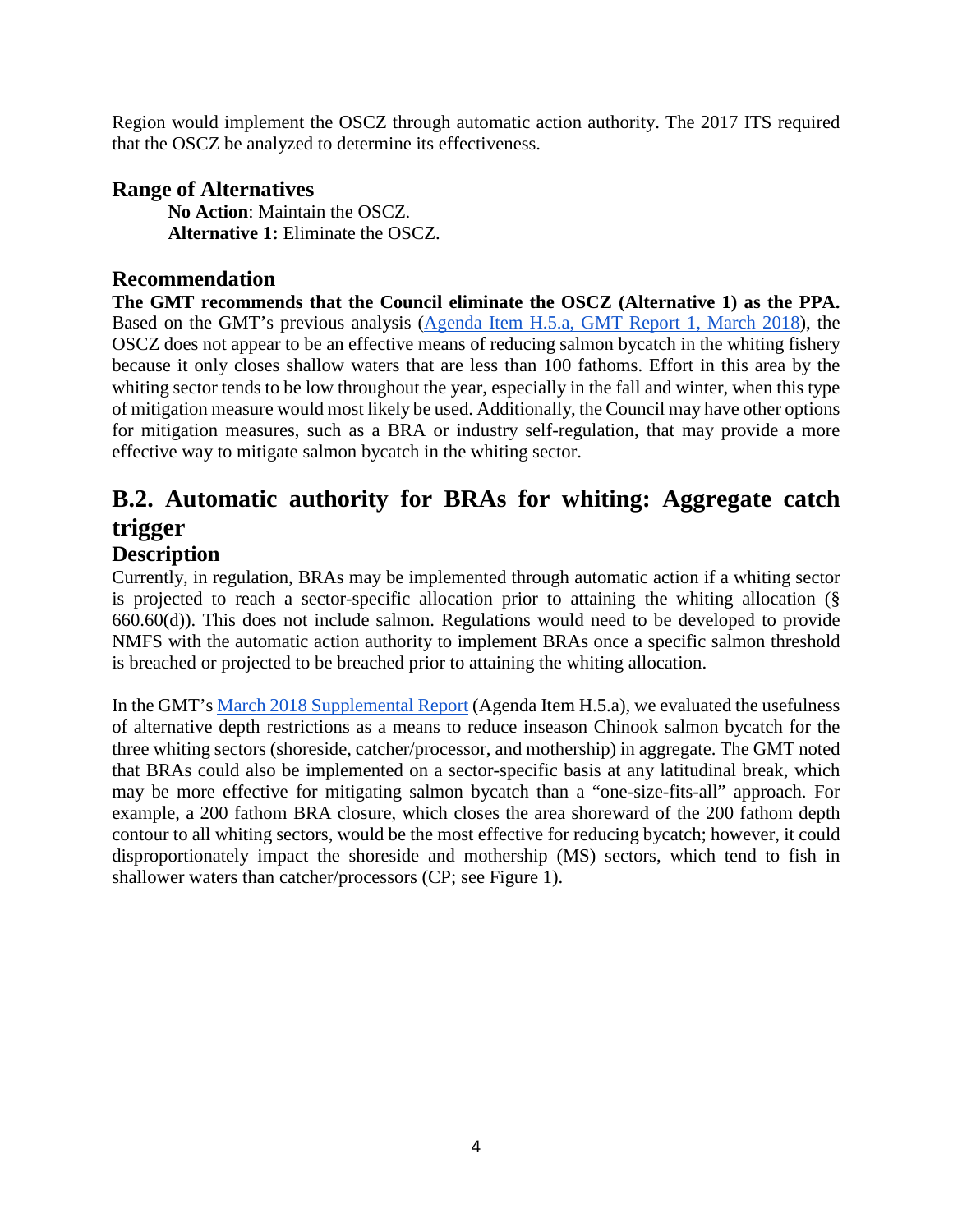Region would implement the OSCZ through automatic action authority. The 2017 ITS required that the OSCZ be analyzed to determine its effectiveness.

### <span id="page-3-0"></span>**Range of Alternatives**

**No Action**: Maintain the OSCZ. **Alternative 1:** Eliminate the OSCZ.

### <span id="page-3-1"></span>**Recommendation**

**The GMT recommends that the Council eliminate the OSCZ (Alternative 1) as the PPA.**  Based on the GMT's previous analysis [\(Agenda Item H.5.a, GMT Report 1, March 2018\)](https://www.pcouncil.org/wp-content/uploads/2018/02/H5a_GMT_Rpt1_Mar2018BB.pdf), the OSCZ does not appear to be an effective means of reducing salmon bycatch in the whiting fishery because it only closes shallow waters that are less than 100 fathoms. Effort in this area by the whiting sector tends to be low throughout the year, especially in the fall and winter, when this type of mitigation measure would most likely be used. Additionally, the Council may have other options for mitigation measures, such as a BRA or industry self-regulation, that may provide a more effective way to mitigate salmon bycatch in the whiting sector.

## <span id="page-3-2"></span>**B.2. Automatic authority for BRAs for whiting: Aggregate catch trigger**

### <span id="page-3-3"></span>**Description**

Currently, in regulation, BRAs may be implemented through automatic action if a whiting sector is projected to reach a sector-specific allocation prior to attaining the whiting allocation (§ 660.60(d)). This does not include salmon. Regulations would need to be developed to provide NMFS with the automatic action authority to implement BRAs once a specific salmon threshold is breached or projected to be breached prior to attaining the whiting allocation.

In the GMT'[s March 2018 Supplemental Report](https://www.pcouncil.org/wp-content/uploads/2018/02/H5a_GMT_Rpt1_Mar2018BB.pdf) (Agenda Item H.5.a), we evaluated the usefulness of alternative depth restrictions as a means to reduce inseason Chinook salmon bycatch for the three whiting sectors (shoreside, catcher/processor, and mothership) in aggregate. The GMT noted that BRAs could also be implemented on a sector-specific basis at any latitudinal break, which may be more effective for mitigating salmon bycatch than a "one-size-fits-all" approach. For example, a 200 fathom BRA closure, which closes the area shoreward of the 200 fathom depth contour to all whiting sectors, would be the most effective for reducing bycatch; however, it could disproportionately impact the shoreside and mothership (MS) sectors, which tend to fish in shallower waters than catcher/processors (CP; see [Figure 1\)](#page-4-1).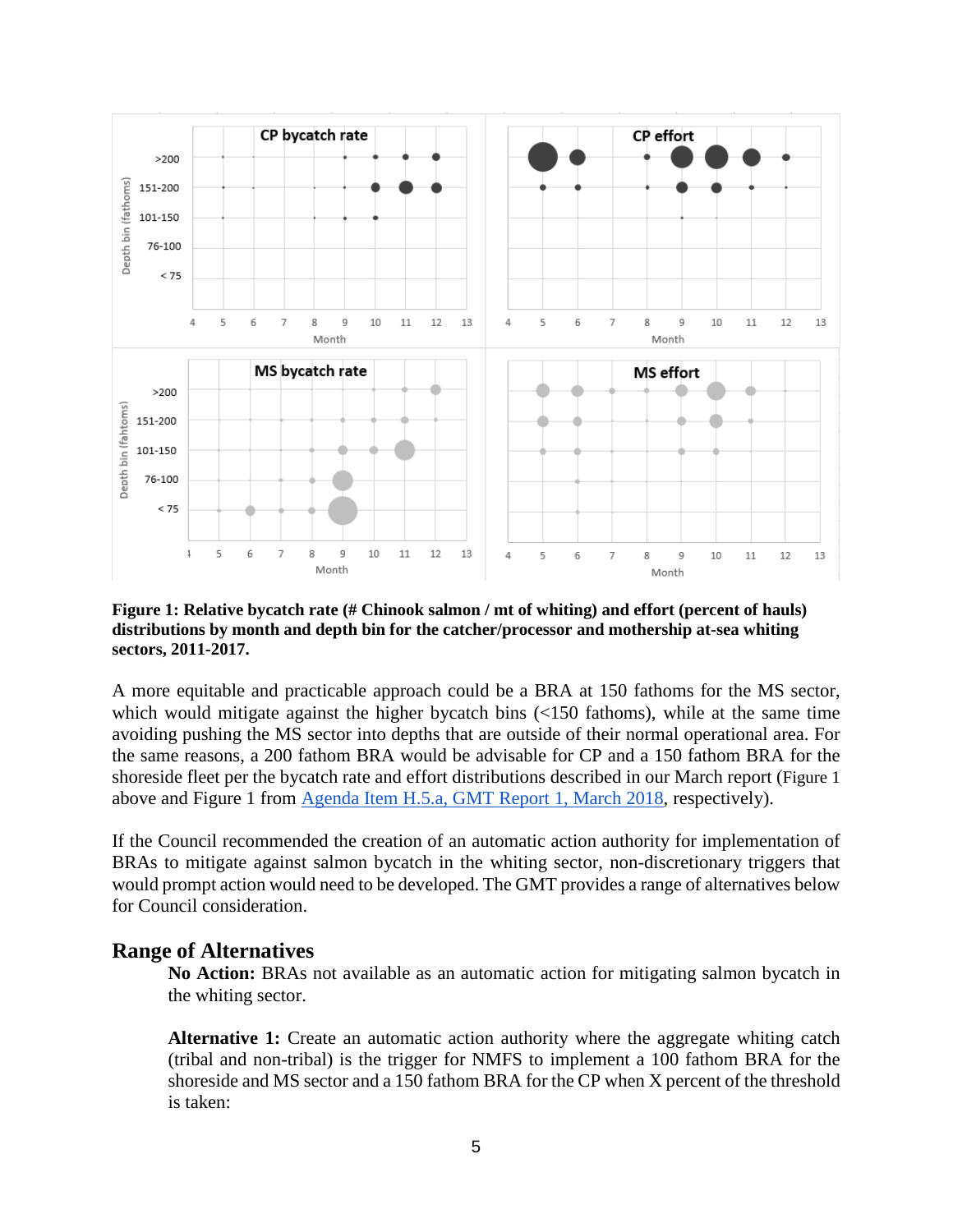

<span id="page-4-1"></span>**Figure 1: Relative bycatch rate (# Chinook salmon / mt of whiting) and effort (percent of hauls) distributions by month and depth bin for the catcher/processor and mothership at-sea whiting sectors, 2011-2017.**

A more equitable and practicable approach could be a BRA at 150 fathoms for the MS sector, which would mitigate against the higher bycatch bins  $\left($ <150 fathoms), while at the same time avoiding pushing the MS sector into depths that are outside of their normal operational area. For the same reasons, a 200 fathom BRA would be advisable for CP and a 150 fathom BRA for the shoreside fleet per the bycatch rate and effort distributions described in our March report [\(Figure 1](#page-4-1) above and Figure 1 from [Agenda Item H.5.a, GMT Report 1, March 2018,](https://www.pcouncil.org/wp-content/uploads/2018/02/H5a_GMT_Rpt1_Mar2018BB.pdf) respectively).

If the Council recommended the creation of an automatic action authority for implementation of BRAs to mitigate against salmon bycatch in the whiting sector, non-discretionary triggers that would prompt action would need to be developed. The GMT provides a range of alternatives below for Council consideration.

#### <span id="page-4-0"></span>**Range of Alternatives**

**No Action:** BRAs not available as an automatic action for mitigating salmon bycatch in the whiting sector.

**Alternative 1:** Create an automatic action authority where the aggregate whiting catch (tribal and non-tribal) is the trigger for NMFS to implement a 100 fathom BRA for the shoreside and MS sector and a 150 fathom BRA for the CP when X percent of the threshold is taken: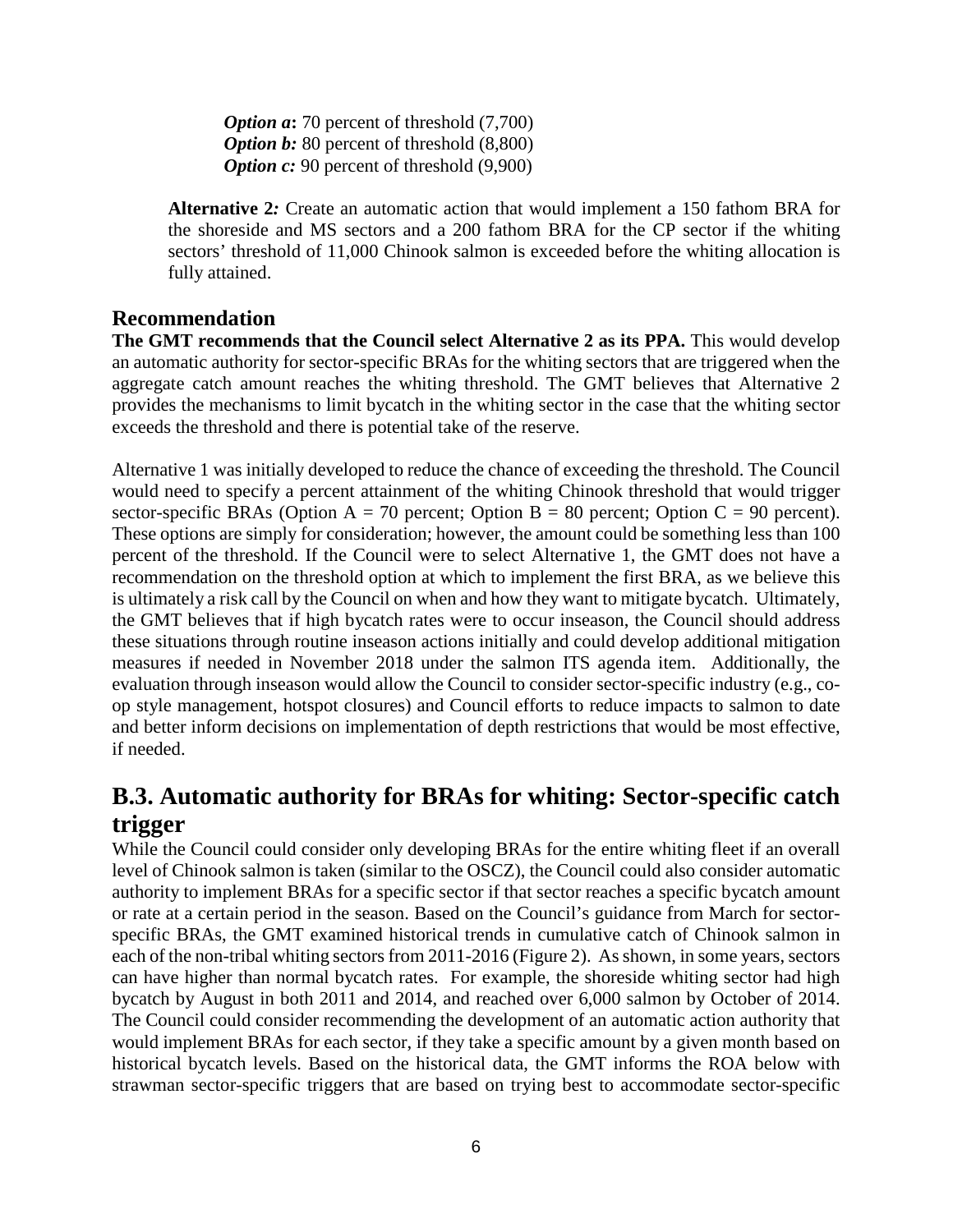*Option a*: 70 percent of threshold (7,700) *Option b:* 80 percent of threshold  $(8,800)$ *Option c:* 90 percent of threshold (9,900)

**Alternative 2***:* Create an automatic action that would implement a 150 fathom BRA for the shoreside and MS sectors and a 200 fathom BRA for the CP sector if the whiting sectors' threshold of 11,000 Chinook salmon is exceeded before the whiting allocation is fully attained.

#### <span id="page-5-0"></span>**Recommendation**

**The GMT recommends that the Council select Alternative 2 as its PPA.** This would develop an automatic authority for sector-specific BRAs for the whiting sectors that are triggered when the aggregate catch amount reaches the whiting threshold. The GMT believes that Alternative 2 provides the mechanisms to limit bycatch in the whiting sector in the case that the whiting sector exceeds the threshold and there is potential take of the reserve.

Alternative 1 was initially developed to reduce the chance of exceeding the threshold. The Council would need to specify a percent attainment of the whiting Chinook threshold that would trigger sector-specific BRAs (Option A = 70 percent; Option B = 80 percent; Option C = 90 percent). These options are simply for consideration; however, the amount could be something less than 100 percent of the threshold. If the Council were to select Alternative 1, the GMT does not have a recommendation on the threshold option at which to implement the first BRA, as we believe this is ultimately a risk call by the Council on when and how they want to mitigate bycatch. Ultimately, the GMT believes that if high bycatch rates were to occur inseason, the Council should address these situations through routine inseason actions initially and could develop additional mitigation measures if needed in November 2018 under the salmon ITS agenda item. Additionally, the evaluation through inseason would allow the Council to consider sector-specific industry (e.g., coop style management, hotspot closures) and Council efforts to reduce impacts to salmon to date and better inform decisions on implementation of depth restrictions that would be most effective, if needed.

## <span id="page-5-1"></span>**B.3. Automatic authority for BRAs for whiting: Sector-specific catch trigger**

While the Council could consider only developing BRAs for the entire whiting fleet if an overall level of Chinook salmon is taken (similar to the OSCZ), the Council could also consider automatic authority to implement BRAs for a specific sector if that sector reaches a specific bycatch amount or rate at a certain period in the season. Based on the Council's guidance from March for sectorspecific BRAs, the GMT examined historical trends in cumulative catch of Chinook salmon in each of the non-tribal whiting sectors from 2011-2016 (Figure 2). As shown, in some years, sectors can have higher than normal bycatch rates. For example, the shoreside whiting sector had high bycatch by August in both 2011 and 2014, and reached over 6,000 salmon by October of 2014. The Council could consider recommending the development of an automatic action authority that would implement BRAs for each sector, if they take a specific amount by a given month based on historical bycatch levels. Based on the historical data, the GMT informs the ROA below with strawman sector-specific triggers that are based on trying best to accommodate sector-specific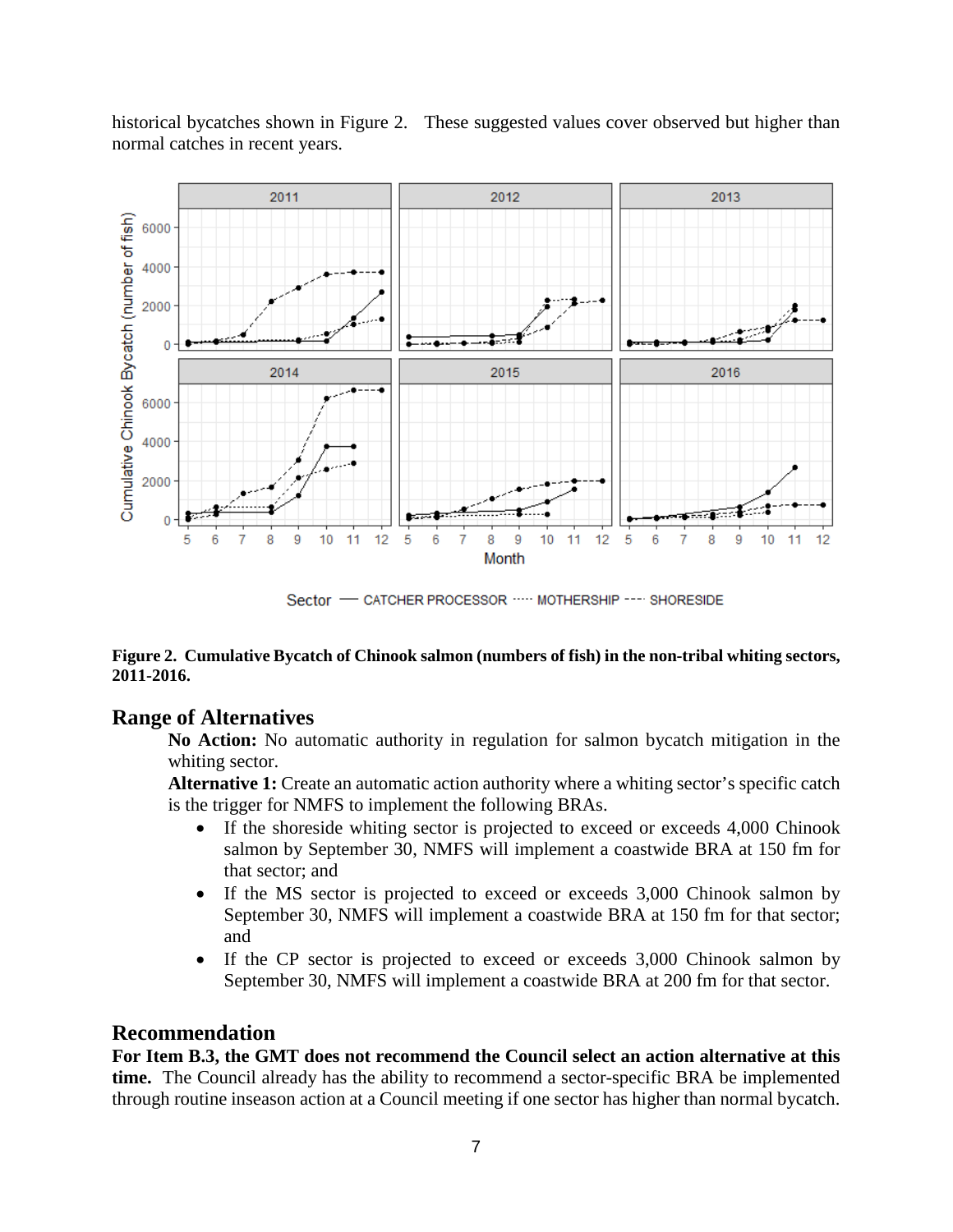

historical bycatches shown in [Figure 2.](#page-6-2) These suggested values cover observed but higher than normal catches in recent years.

Sector - CATCHER PROCESSOR ..... MOTHERSHIP ---- SHORESIDE

#### <span id="page-6-2"></span>**Figure 2. Cumulative Bycatch of Chinook salmon (numbers of fish) in the non-tribal whiting sectors, 2011-2016.**

#### <span id="page-6-0"></span>**Range of Alternatives**

**No Action:** No automatic authority in regulation for salmon bycatch mitigation in the whiting sector.

**Alternative 1:** Create an automatic action authority where a whiting sector's specific catch is the trigger for NMFS to implement the following BRAs.

- If the shoreside whiting sector is projected to exceed or exceeds 4,000 Chinook salmon by September 30, NMFS will implement a coastwide BRA at 150 fm for that sector; and
- If the MS sector is projected to exceed or exceeds 3,000 Chinook salmon by September 30, NMFS will implement a coastwide BRA at 150 fm for that sector; and
- If the CP sector is projected to exceed or exceeds 3,000 Chinook salmon by September 30, NMFS will implement a coastwide BRA at 200 fm for that sector.

#### <span id="page-6-1"></span>**Recommendation**

**For Item B.3, the GMT does not recommend the Council select an action alternative at this time.** The Council already has the ability to recommend a sector-specific BRA be implemented through routine inseason action at a Council meeting if one sector has higher than normal bycatch.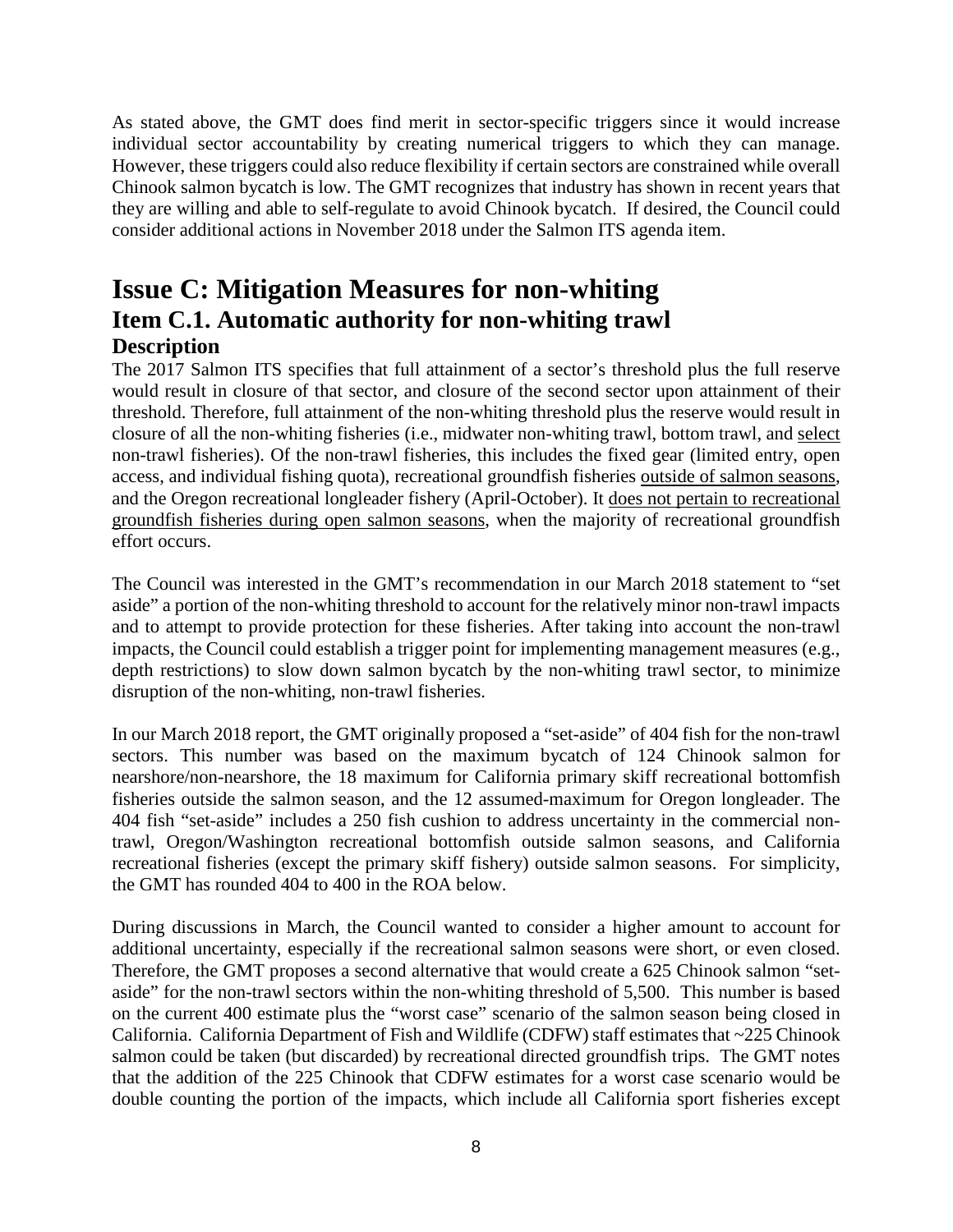As stated above, the GMT does find merit in sector-specific triggers since it would increase individual sector accountability by creating numerical triggers to which they can manage. However, these triggers could also reduce flexibility if certain sectors are constrained while overall Chinook salmon bycatch is low. The GMT recognizes that industry has shown in recent years that they are willing and able to self-regulate to avoid Chinook bycatch. If desired, the Council could consider additional actions in November 2018 under the Salmon ITS agenda item.

## <span id="page-7-1"></span><span id="page-7-0"></span>**Issue C: Mitigation Measures for non-whiting Item C.1. Automatic authority for non-whiting trawl Description**

<span id="page-7-2"></span>The 2017 Salmon ITS specifies that full attainment of a sector's threshold plus the full reserve would result in closure of that sector, and closure of the second sector upon attainment of their threshold. Therefore, full attainment of the non-whiting threshold plus the reserve would result in closure of all the non-whiting fisheries (i.e., midwater non-whiting trawl, bottom trawl, and select non-trawl fisheries). Of the non-trawl fisheries, this includes the fixed gear (limited entry, open access, and individual fishing quota), recreational groundfish fisheries outside of salmon seasons, and the Oregon recreational longleader fishery (April-October). It does not pertain to recreational groundfish fisheries during open salmon seasons, when the majority of recreational groundfish effort occurs.

The Council was interested in the GMT's recommendation in our March 2018 statement to "set aside" a portion of the non-whiting threshold to account for the relatively minor non-trawl impacts and to attempt to provide protection for these fisheries. After taking into account the non-trawl impacts, the Council could establish a trigger point for implementing management measures (e.g., depth restrictions) to slow down salmon bycatch by the non-whiting trawl sector, to minimize disruption of the non-whiting, non-trawl fisheries.

In our March 2018 report, the GMT originally proposed a "set-aside" of 404 fish for the non-trawl sectors. This number was based on the maximum bycatch of 124 Chinook salmon for nearshore/non-nearshore, the 18 maximum for California primary skiff recreational bottomfish fisheries outside the salmon season, and the 12 assumed-maximum for Oregon longleader. The 404 fish "set-aside" includes a 250 fish cushion to address uncertainty in the commercial nontrawl, Oregon/Washington recreational bottomfish outside salmon seasons, and California recreational fisheries (except the primary skiff fishery) outside salmon seasons. For simplicity, the GMT has rounded 404 to 400 in the ROA below.

During discussions in March, the Council wanted to consider a higher amount to account for additional uncertainty, especially if the recreational salmon seasons were short, or even closed. Therefore, the GMT proposes a second alternative that would create a 625 Chinook salmon "setaside" for the non-trawl sectors within the non-whiting threshold of 5,500. This number is based on the current 400 estimate plus the "worst case" scenario of the salmon season being closed in California. California Department of Fish and Wildlife (CDFW) staff estimates that ~225 Chinook salmon could be taken (but discarded) by recreational directed groundfish trips. The GMT notes that the addition of the 225 Chinook that CDFW estimates for a worst case scenario would be double counting the portion of the impacts, which include all California sport fisheries except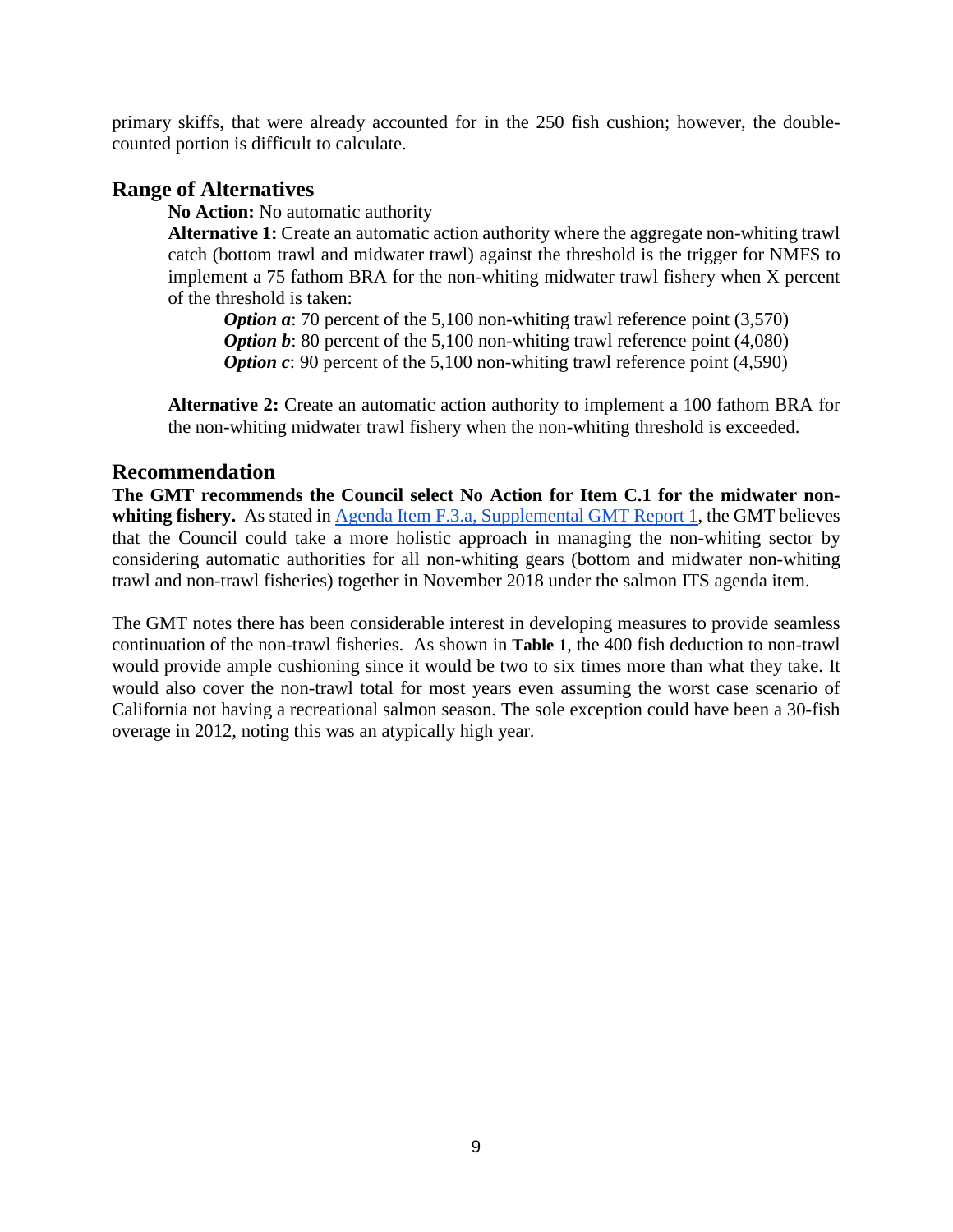primary skiffs, that were already accounted for in the 250 fish cushion; however, the doublecounted portion is difficult to calculate.

#### <span id="page-8-0"></span>**Range of Alternatives**

**No Action:** No automatic authority

**Alternative 1:** Create an automatic action authority where the aggregate non-whiting trawl catch (bottom trawl and midwater trawl) against the threshold is the trigger for NMFS to implement a 75 fathom BRA for the non-whiting midwater trawl fishery when X percent of the threshold is taken:

*Option a*: 70 percent of the 5,100 non-whiting trawl reference point (3,570) *Option b*: 80 percent of the 5,100 non-whiting trawl reference point (4,080) *Option c*: 90 percent of the 5,100 non-whiting trawl reference point (4,590)

**Alternative 2:** Create an automatic action authority to implement a 100 fathom BRA for the non-whiting midwater trawl fishery when the non-whiting threshold is exceeded.

#### <span id="page-8-1"></span>**Recommendation**

**The GMT recommends the Council select No Action for Item C.1 for the midwater non-**whiting fishery. As stated in [Agenda Item F.3.a, Supplemental GMT Report 1,](https://www.pcouncil.org/wp-content/uploads/2018/04/F3a_Supp_ProjectTeam_Presentation1_Hanshew_etal_APR2018BB.pdf) the GMT believes that the Council could take a more holistic approach in managing the non-whiting sector by considering automatic authorities for all non-whiting gears (bottom and midwater non-whiting trawl and non-trawl fisheries) together in November 2018 under the salmon ITS agenda item.

The GMT notes there has been considerable interest in developing measures to provide seamless continuation of the non-trawl fisheries. As shown in **[Table 1](#page-9-2)**, the 400 fish deduction to non-trawl would provide ample cushioning since it would be two to six times more than what they take. It would also cover the non-trawl total for most years even assuming the worst case scenario of California not having a recreational salmon season. The sole exception could have been a 30-fish overage in 2012, noting this was an atypically high year.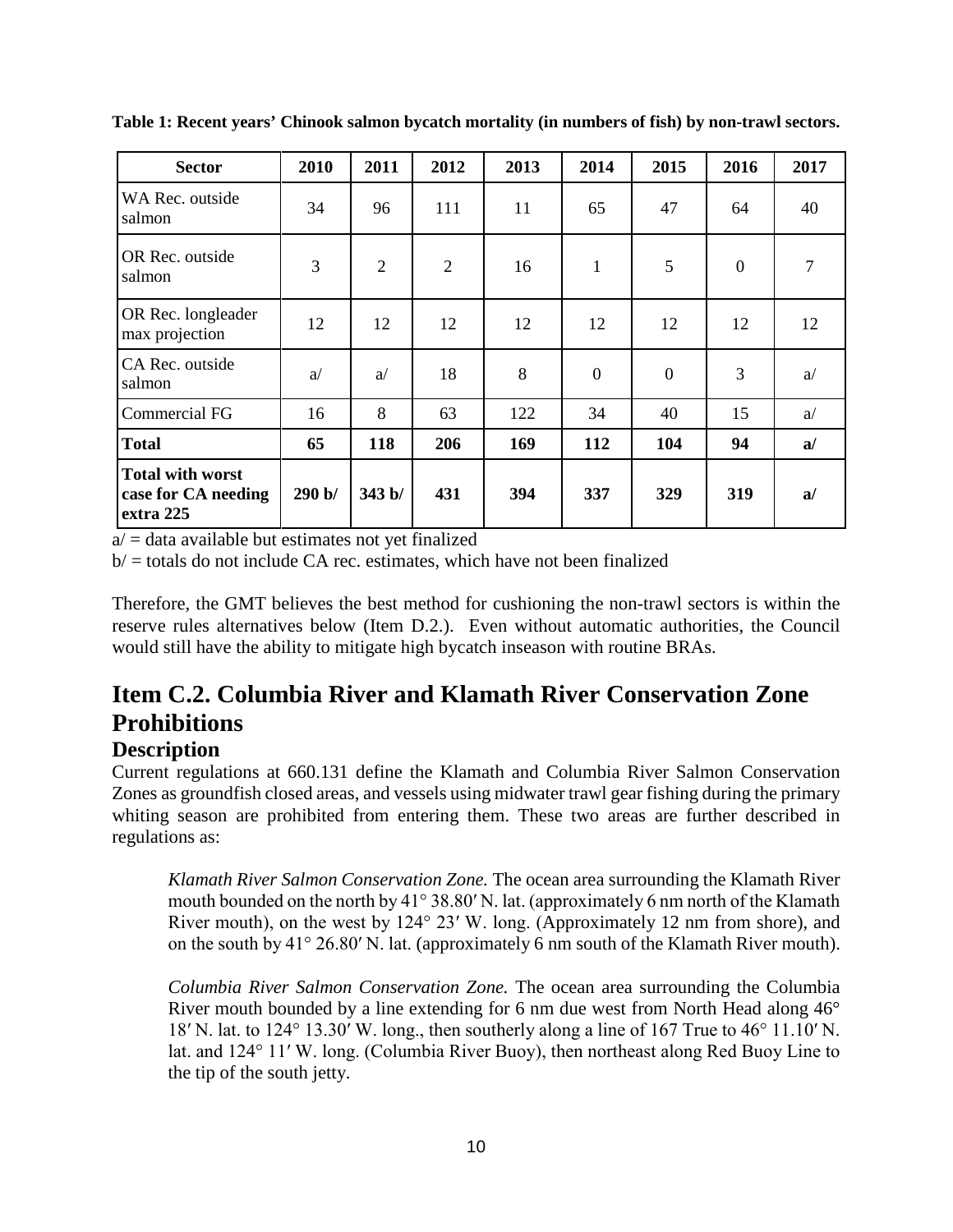| <b>Sector</b>                                               | 2010   | 2011           | 2012           | 2013 | 2014           | 2015           | 2016           | 2017 |
|-------------------------------------------------------------|--------|----------------|----------------|------|----------------|----------------|----------------|------|
| WA Rec. outside<br>salmon                                   | 34     | 96             | 111            | 11   | 65             | 47             | 64             | 40   |
| OR Rec. outside<br>salmon                                   | 3      | $\overline{2}$ | $\overline{2}$ | 16   | $\mathbf{1}$   | 5              | $\overline{0}$ | 7    |
| OR Rec. longleader<br>max projection                        | 12     | 12             | 12             | 12   | 12             | 12             | 12             | 12   |
| CA Rec. outside<br>salmon                                   | a      | a              | 18             | 8    | $\overline{0}$ | $\overline{0}$ | 3              | a    |
| <b>Commercial FG</b>                                        | 16     | 8              | 63             | 122  | 34             | 40             | 15             | a    |
| <b>Total</b>                                                | 65     | 118            | 206            | 169  | 112            | 104            | 94             | a/   |
| <b>Total with worst</b><br>case for CA needing<br>extra 225 | 290 b/ | 343 b/         | 431            | 394  | 337            | 329            | 319            | a/   |

<span id="page-9-2"></span>**Table 1: Recent years' Chinook salmon bycatch mortality (in numbers of fish) by non-trawl sectors.**

 $a$  = data available but estimates not yet finalized

 $b$  = totals do not include CA rec. estimates, which have not been finalized

Therefore, the GMT believes the best method for cushioning the non-trawl sectors is within the reserve rules alternatives below (Item D.2.). Even without automatic authorities, the Council would still have the ability to mitigate high bycatch inseason with routine BRAs.

## <span id="page-9-0"></span>**Item C.2. Columbia River and Klamath River Conservation Zone Prohibitions**

#### <span id="page-9-1"></span>**Description**

Current regulations at 660.131 define the Klamath and Columbia River Salmon Conservation Zones as groundfish closed areas, and vessels using midwater trawl gear fishing during the primary whiting season are prohibited from entering them. These two areas are further described in regulations as:

*Klamath River Salmon Conservation Zone.* The ocean area surrounding the Klamath River mouth bounded on the north by 41° 38.80′ N. lat. (approximately 6 nm north of the Klamath River mouth), on the west by 124° 23′ W. long. (Approximately 12 nm from shore), and on the south by 41° 26.80′ N. lat. (approximately 6 nm south of the Klamath River mouth).

*Columbia River Salmon Conservation Zone.* The ocean area surrounding the Columbia River mouth bounded by a line extending for 6 nm due west from North Head along 46° 18′ N. lat. to 124° 13.30′ W. long., then southerly along a line of 167 True to 46° 11.10′ N. lat. and 124° 11′ W. long. (Columbia River Buoy), then northeast along Red Buoy Line to the tip of the south jetty.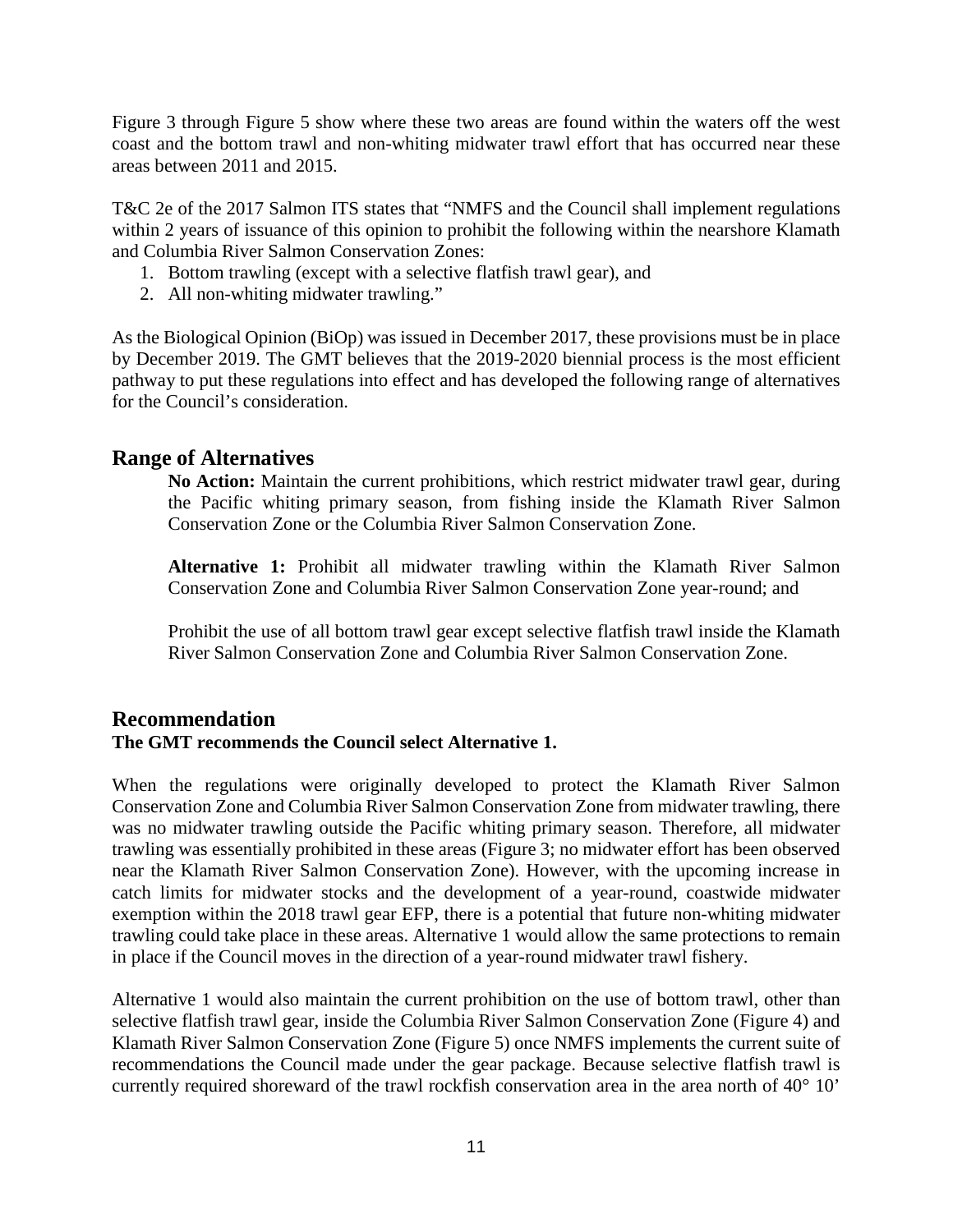[Figure 3](#page-11-0) through [Figure 5](#page-13-0) show where these two areas are found within the waters off the west coast and the bottom trawl and non-whiting midwater trawl effort that has occurred near these areas between 2011 and 2015.

T&C 2e of the 2017 Salmon ITS states that "NMFS and the Council shall implement regulations within 2 years of issuance of this opinion to prohibit the following within the nearshore Klamath and Columbia River Salmon Conservation Zones:

- 1. Bottom trawling (except with a selective flatfish trawl gear), and
- 2. All non-whiting midwater trawling."

As the Biological Opinion (BiOp) was issued in December 2017, these provisions must be in place by December 2019. The GMT believes that the 2019-2020 biennial process is the most efficient pathway to put these regulations into effect and has developed the following range of alternatives for the Council's consideration.

#### <span id="page-10-0"></span>**Range of Alternatives**

**No Action:** Maintain the current prohibitions, which restrict midwater trawl gear, during the Pacific whiting primary season, from fishing inside the Klamath River Salmon Conservation Zone or the Columbia River Salmon Conservation Zone.

**Alternative 1:** Prohibit all midwater trawling within the Klamath River Salmon Conservation Zone and Columbia River Salmon Conservation Zone year-round; and

Prohibit the use of all bottom trawl gear except selective flatfish trawl inside the Klamath River Salmon Conservation Zone and Columbia River Salmon Conservation Zone.

### <span id="page-10-1"></span>**Recommendation The GMT recommends the Council select Alternative 1.**

When the regulations were originally developed to protect the Klamath River Salmon Conservation Zone and Columbia River Salmon Conservation Zone from midwater trawling, there was no midwater trawling outside the Pacific whiting primary season. Therefore, all midwater trawling was essentially prohibited in these areas [\(Figure 3;](#page-11-0) no midwater effort has been observed near the Klamath River Salmon Conservation Zone). However, with the upcoming increase in catch limits for midwater stocks and the development of a year-round, coastwide midwater exemption within the 2018 trawl gear EFP, there is a potential that future non-whiting midwater trawling could take place in these areas. Alternative 1 would allow the same protections to remain in place if the Council moves in the direction of a year-round midwater trawl fishery.

Alternative 1 would also maintain the current prohibition on the use of bottom trawl, other than selective flatfish trawl gear, inside the Columbia River Salmon Conservation Zone [\(Figure 4\)](#page-12-0) and Klamath River Salmon Conservation Zone [\(Figure 5\)](#page-13-0) once NMFS implements the current suite of recommendations the Council made under the gear package. Because selective flatfish trawl is currently required shoreward of the trawl rockfish conservation area in the area north of 40° 10'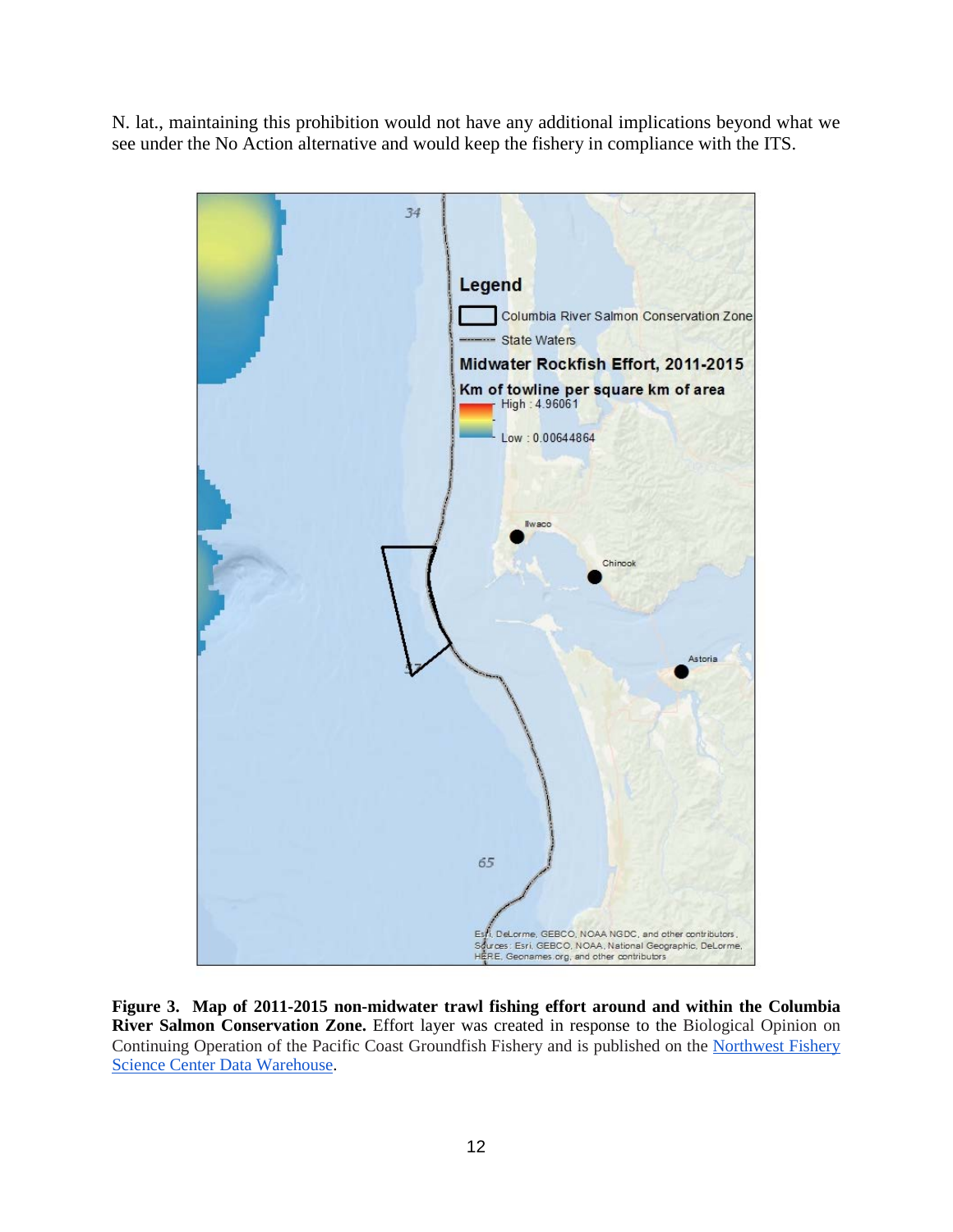N. lat., maintaining this prohibition would not have any additional implications beyond what we see under the No Action alternative and would keep the fishery in compliance with the ITS.



<span id="page-11-0"></span>**Figure 3. Map of 2011-2015 non-midwater trawl fishing effort around and within the Columbia River Salmon Conservation Zone.** Effort layer was created in response to the Biological Opinion on Continuing Operation of the Pacific Coast Groundfish Fishery and is published on the [Northwest Fishery](https://www.nwfsc.noaa.gov/data/map)  [Science Center Data Warehouse.](https://www.nwfsc.noaa.gov/data/map)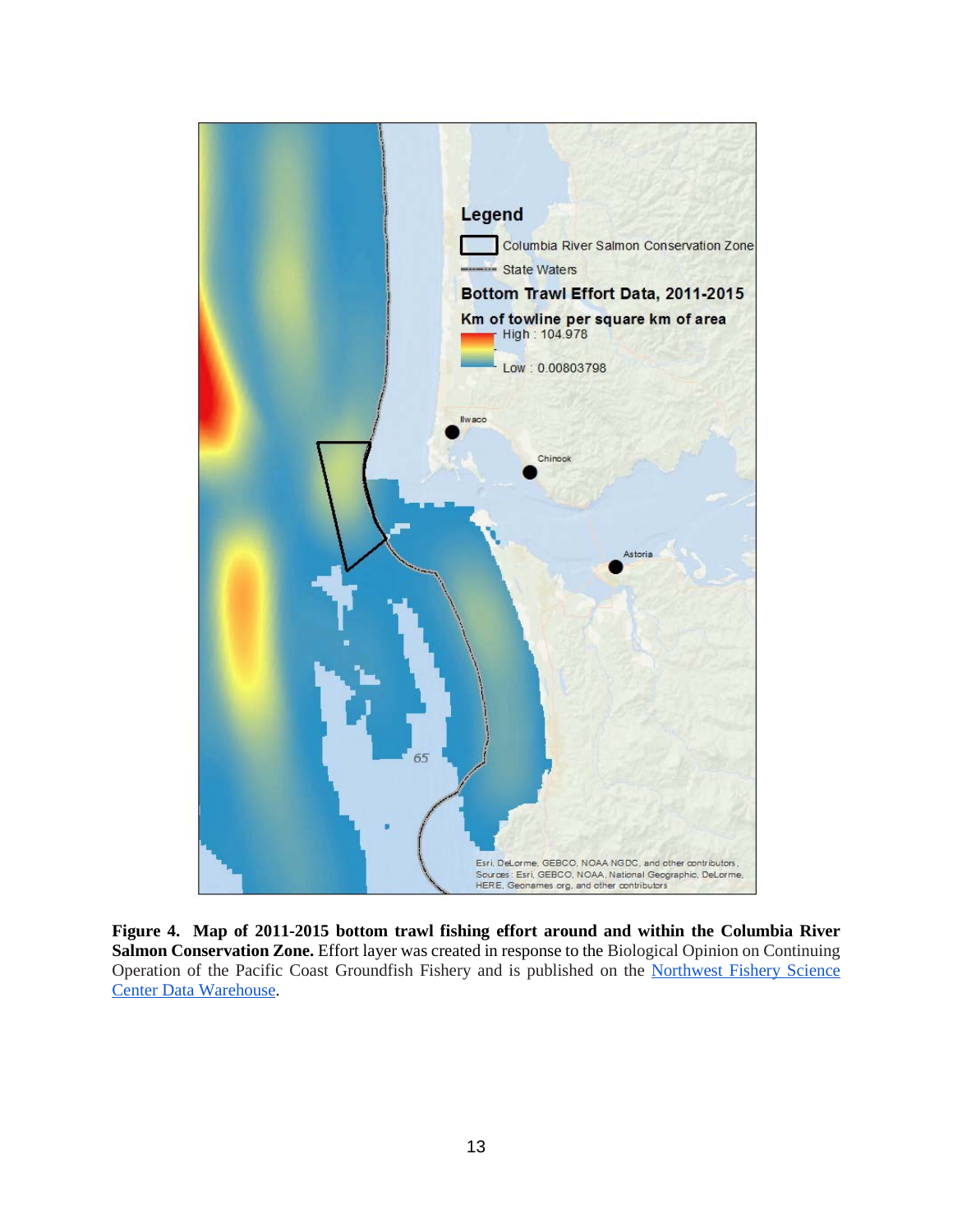<span id="page-12-0"></span>

**Figure 4. Map of 2011-2015 bottom trawl fishing effort around and within the Columbia River Salmon Conservation Zone.** Effort layer was created in response to the Biological Opinion on Continuing Operation of the Pacific Coast Groundfish Fishery and is published on the [Northwest Fishery Science](https://www.nwfsc.noaa.gov/data/map)  [Center Data Warehouse.](https://www.nwfsc.noaa.gov/data/map)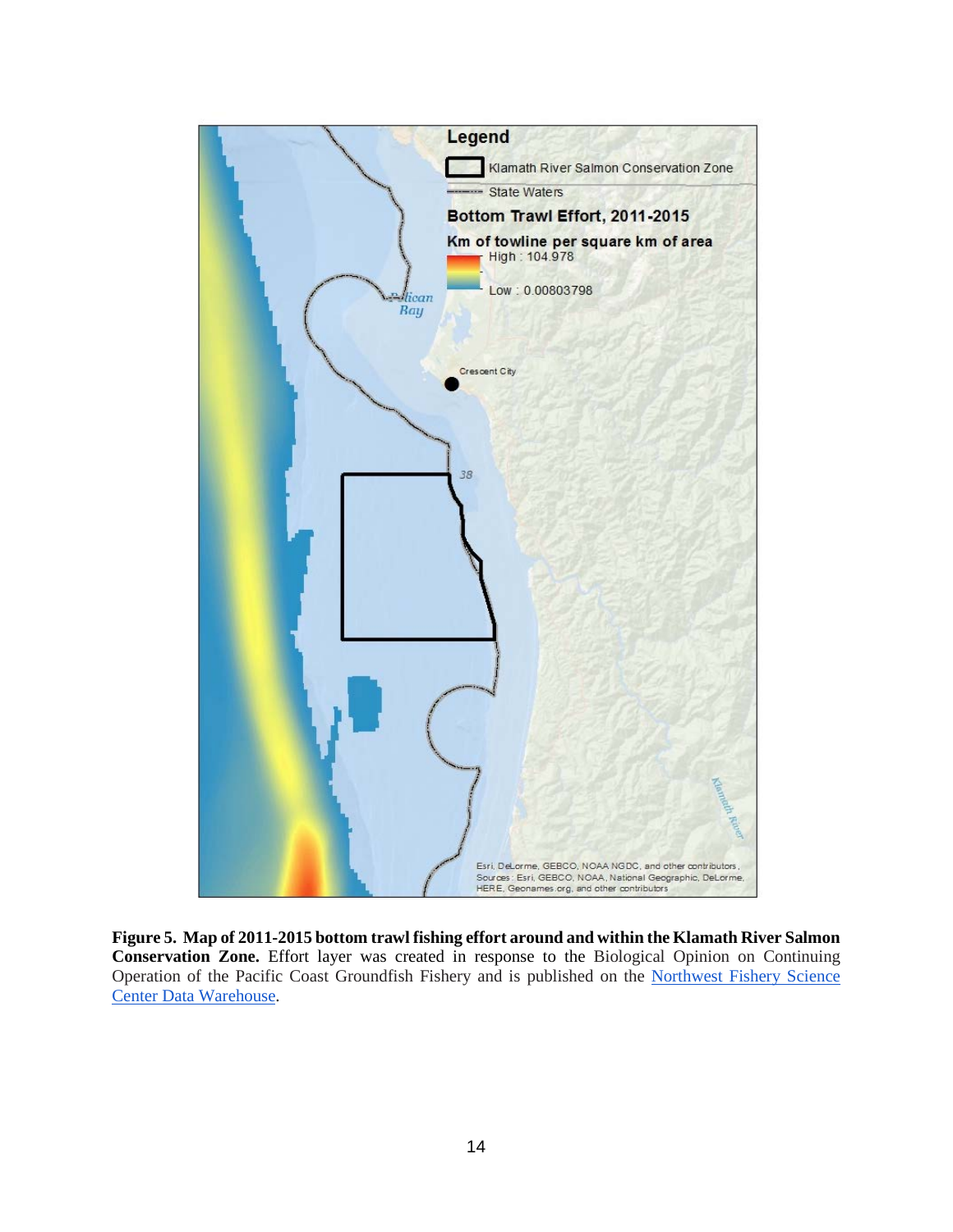<span id="page-13-0"></span>

**Figure 5. Map of 2011-2015 bottom trawl fishing effort around and within the Klamath River Salmon Conservation Zone.** Effort layer was created in response to the Biological Opinion on Continuing Operation of the Pacific Coast Groundfish Fishery and is published on the [Northwest Fishery Science](https://www.nwfsc.noaa.gov/data/map)  [Center Data Warehouse.](https://www.nwfsc.noaa.gov/data/map)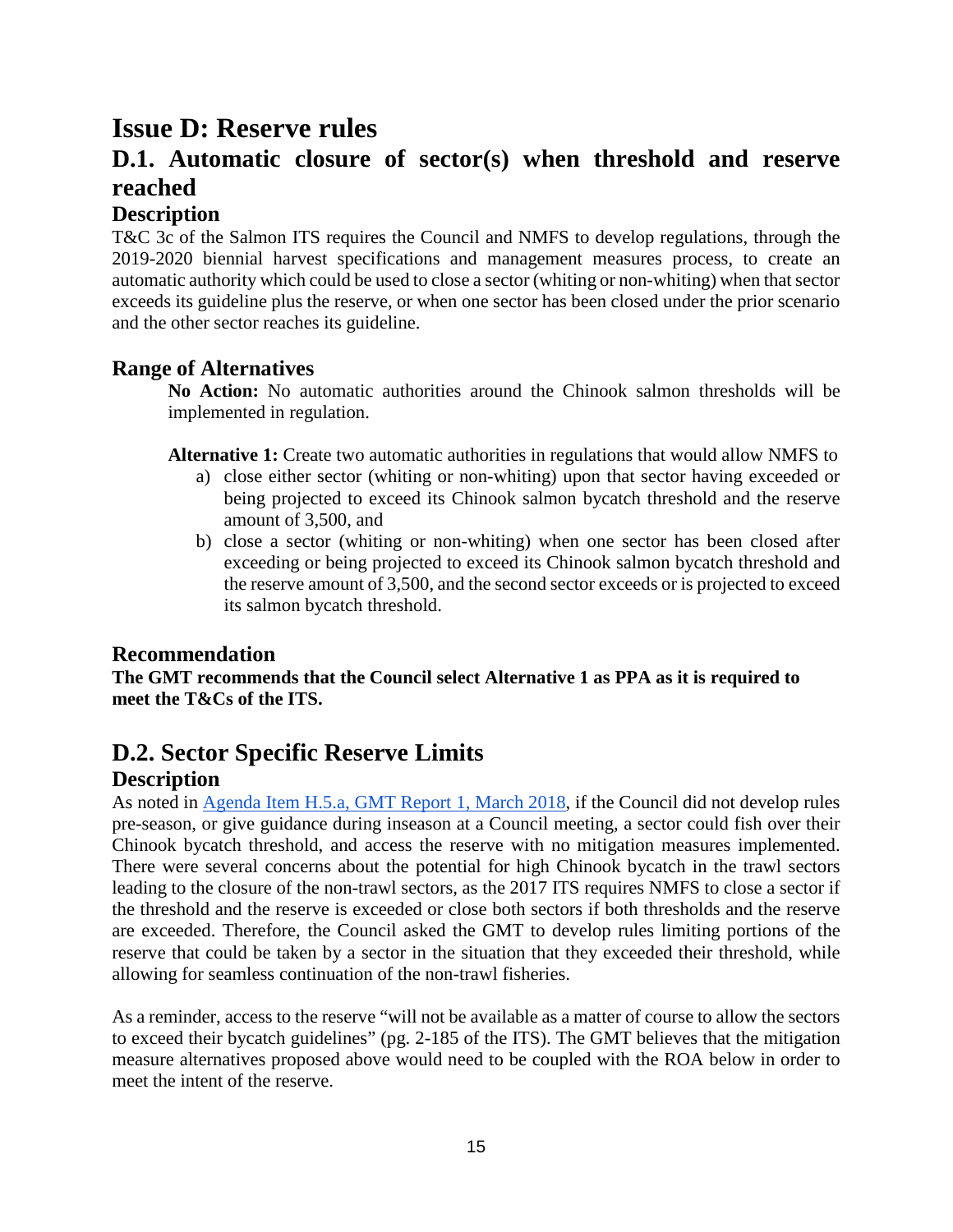## <span id="page-14-0"></span>**Issue D: Reserve rules**

## <span id="page-14-1"></span>**D.1. Automatic closure of sector(s) when threshold and reserve reached**

### <span id="page-14-2"></span>**Description**

T&C 3c of the Salmon ITS requires the Council and NMFS to develop regulations, through the 2019-2020 biennial harvest specifications and management measures process, to create an automatic authority which could be used to close a sector (whiting or non-whiting) when that sector exceeds its guideline plus the reserve, or when one sector has been closed under the prior scenario and the other sector reaches its guideline.

### <span id="page-14-3"></span>**Range of Alternatives**

**No Action:** No automatic authorities around the Chinook salmon thresholds will be implemented in regulation.

**Alternative 1:** Create two automatic authorities in regulations that would allow NMFS to

- a) close either sector (whiting or non-whiting) upon that sector having exceeded or being projected to exceed its Chinook salmon bycatch threshold and the reserve amount of 3,500, and
- b) close a sector (whiting or non-whiting) when one sector has been closed after exceeding or being projected to exceed its Chinook salmon bycatch threshold and the reserve amount of 3,500, and the second sector exceeds or is projected to exceed its salmon bycatch threshold.

### <span id="page-14-4"></span>**Recommendation**

**The GMT recommends that the Council select Alternative 1 as PPA as it is required to meet the T&Cs of the ITS.** 

## <span id="page-14-5"></span>**D.2. Sector Specific Reserve Limits**

### <span id="page-14-6"></span>**Description**

As noted in [Agenda Item H.5.a, GMT Report 1, March 2018,](https://www.pcouncil.org/wp-content/uploads/2018/02/H5a_GMT_Rpt1_Mar2018BB.pdf) if the Council did not develop rules pre-season, or give guidance during inseason at a Council meeting, a sector could fish over their Chinook bycatch threshold, and access the reserve with no mitigation measures implemented. There were several concerns about the potential for high Chinook bycatch in the trawl sectors leading to the closure of the non-trawl sectors, as the 2017 ITS requires NMFS to close a sector if the threshold and the reserve is exceeded or close both sectors if both thresholds and the reserve are exceeded. Therefore, the Council asked the GMT to develop rules limiting portions of the reserve that could be taken by a sector in the situation that they exceeded their threshold, while allowing for seamless continuation of the non-trawl fisheries.

As a reminder, access to the reserve "will not be available as a matter of course to allow the sectors to exceed their bycatch guidelines" (pg. 2-185 of the ITS). The GMT believes that the mitigation measure alternatives proposed above would need to be coupled with the ROA below in order to meet the intent of the reserve.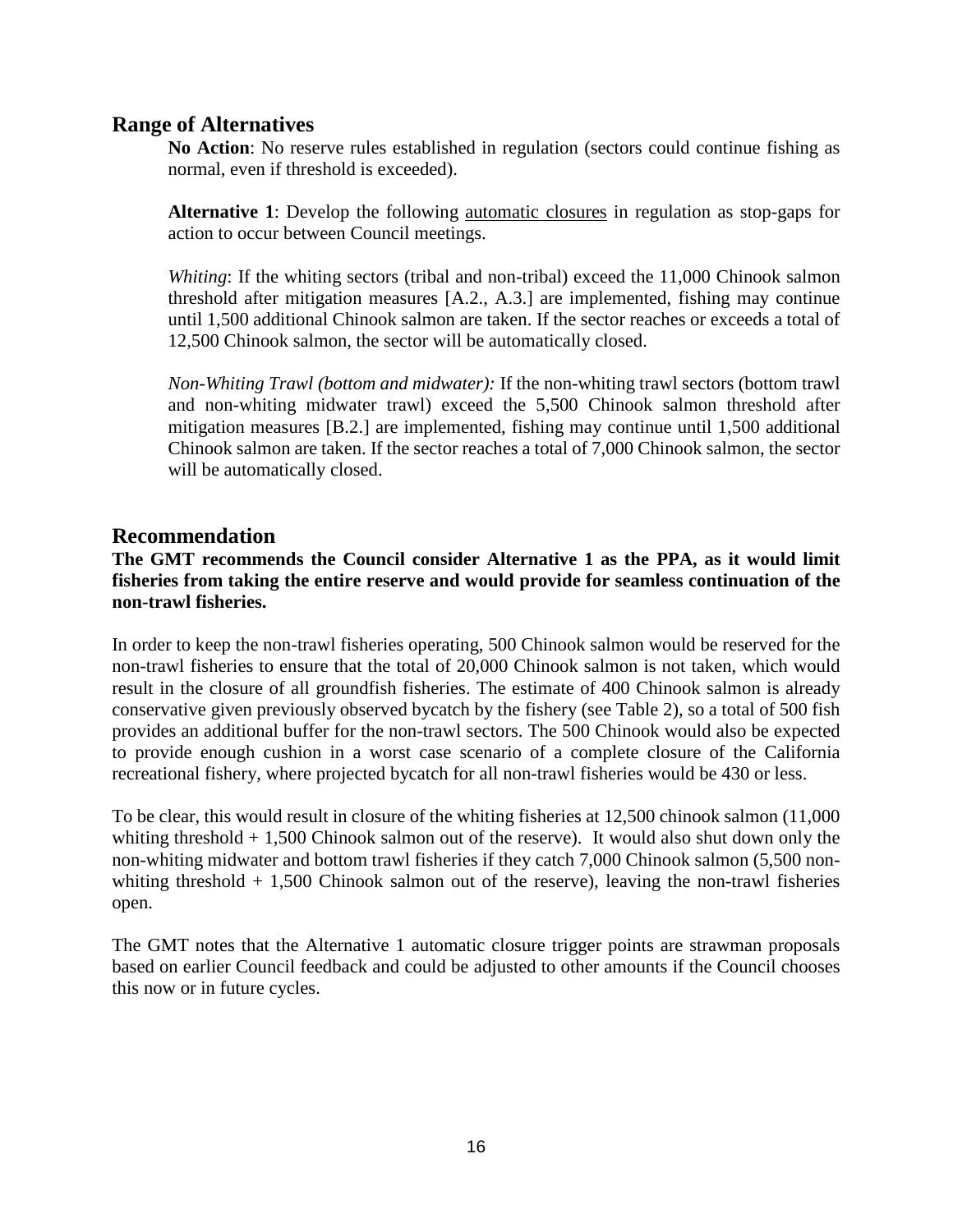#### <span id="page-15-0"></span>**Range of Alternatives**

**No Action**: No reserve rules established in regulation (sectors could continue fishing as normal, even if threshold is exceeded).

**Alternative 1**: Develop the following automatic closures in regulation as stop-gaps for action to occur between Council meetings.

*Whiting*: If the whiting sectors (tribal and non-tribal) exceed the 11,000 Chinook salmon threshold after mitigation measures [A.2., A.3.] are implemented, fishing may continue until 1,500 additional Chinook salmon are taken. If the sector reaches or exceeds a total of 12,500 Chinook salmon, the sector will be automatically closed.

*Non-Whiting Trawl (bottom and midwater):* If the non-whiting trawl sectors (bottom trawl and non-whiting midwater trawl) exceed the 5,500 Chinook salmon threshold after mitigation measures [B.2.] are implemented, fishing may continue until 1,500 additional Chinook salmon are taken. If the sector reaches a total of 7,000 Chinook salmon, the sector will be automatically closed.

#### <span id="page-15-1"></span>**Recommendation**

#### **The GMT recommends the Council consider Alternative 1 as the PPA, as it would limit fisheries from taking the entire reserve and would provide for seamless continuation of the non-trawl fisheries.**

In order to keep the non-trawl fisheries operating, 500 Chinook salmon would be reserved for the non-trawl fisheries to ensure that the total of 20,000 Chinook salmon is not taken, which would result in the closure of all groundfish fisheries. The estimate of 400 Chinook salmon is already conservative given previously observed bycatch by the fishery (see Table 2), so a total of 500 fish provides an additional buffer for the non-trawl sectors. The 500 Chinook would also be expected to provide enough cushion in a worst case scenario of a complete closure of the California recreational fishery, where projected bycatch for all non-trawl fisheries would be 430 or less.

To be clear, this would result in closure of the whiting fisheries at 12,500 chinook salmon (11,000 whiting threshold + 1,500 Chinook salmon out of the reserve). It would also shut down only the non-whiting midwater and bottom trawl fisheries if they catch 7,000 Chinook salmon (5,500 nonwhiting threshold  $+ 1,500$  Chinook salmon out of the reserve), leaving the non-trawl fisheries open.

The GMT notes that the Alternative 1 automatic closure trigger points are strawman proposals based on earlier Council feedback and could be adjusted to other amounts if the Council chooses this now or in future cycles.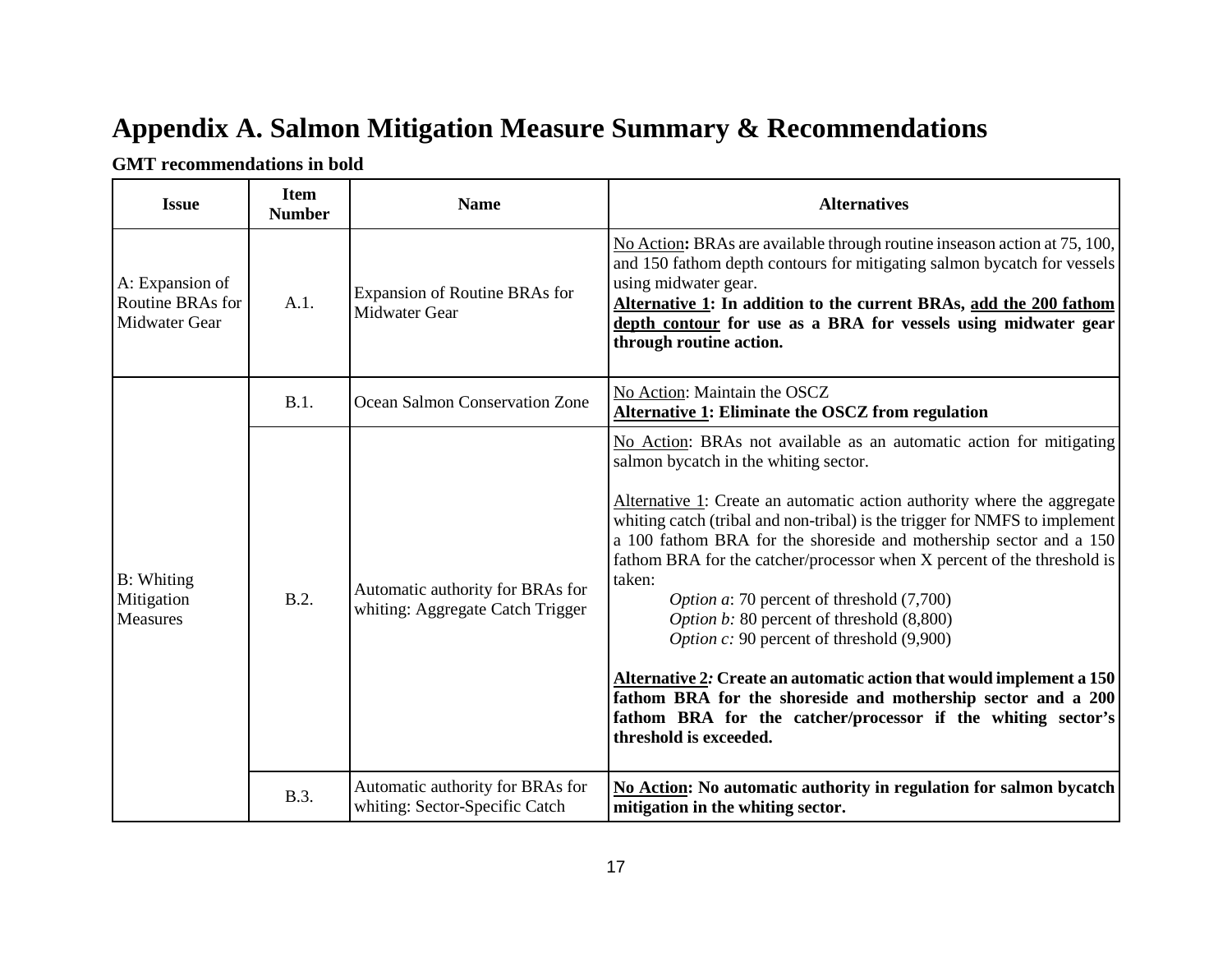# **Appendix A. Salmon Mitigation Measure Summary & Recommendations**

#### **GMT recommendations in bold**

<span id="page-16-0"></span>

| <b>Issue</b>                                                | <b>Item</b><br><b>Number</b> | <b>Name</b>                                                          | <b>Alternatives</b>                                                                                                                                                                                                                                                                                                                                                                                                                                                                                                                                                                                                                                                                                                                                                                                               |
|-------------------------------------------------------------|------------------------------|----------------------------------------------------------------------|-------------------------------------------------------------------------------------------------------------------------------------------------------------------------------------------------------------------------------------------------------------------------------------------------------------------------------------------------------------------------------------------------------------------------------------------------------------------------------------------------------------------------------------------------------------------------------------------------------------------------------------------------------------------------------------------------------------------------------------------------------------------------------------------------------------------|
| A: Expansion of<br>Routine BRAs for<br><b>Midwater Gear</b> | A.1.                         | Expansion of Routine BRAs for<br><b>Midwater Gear</b>                | No Action: BRAs are available through routine inseason action at 75, 100,<br>and 150 fathom depth contours for mitigating salmon bycatch for vessels<br>using midwater gear.<br>Alternative 1: In addition to the current BRAs, add the 200 fathom<br>depth contour for use as a BRA for vessels using midwater gear<br>through routine action.                                                                                                                                                                                                                                                                                                                                                                                                                                                                   |
|                                                             | B.1.                         | Ocean Salmon Conservation Zone                                       | No Action: Maintain the OSCZ<br>Alternative 1: Eliminate the OSCZ from regulation                                                                                                                                                                                                                                                                                                                                                                                                                                                                                                                                                                                                                                                                                                                                 |
| <b>B</b> : Whiting<br>Mitigation<br><b>Measures</b>         | B.2.                         | Automatic authority for BRAs for<br>whiting: Aggregate Catch Trigger | No Action: BRAs not available as an automatic action for mitigating<br>salmon bycatch in the whiting sector.<br>Alternative 1: Create an automatic action authority where the aggregate<br>whiting catch (tribal and non-tribal) is the trigger for NMFS to implement<br>a 100 fathom BRA for the shoreside and mothership sector and a 150<br>fathom BRA for the catcher/processor when X percent of the threshold is<br>taken:<br><i>Option a</i> : 70 percent of threshold (7,700)<br>Option b: 80 percent of threshold (8,800)<br>Option c: 90 percent of threshold (9,900)<br>Alternative 2: Create an automatic action that would implement a 150<br>fathom BRA for the shoreside and mothership sector and a 200<br>fathom BRA for the catcher/processor if the whiting sector's<br>threshold is exceeded. |
|                                                             | B.3.                         | Automatic authority for BRAs for<br>whiting: Sector-Specific Catch   | No Action: No automatic authority in regulation for salmon bycatch<br>mitigation in the whiting sector.                                                                                                                                                                                                                                                                                                                                                                                                                                                                                                                                                                                                                                                                                                           |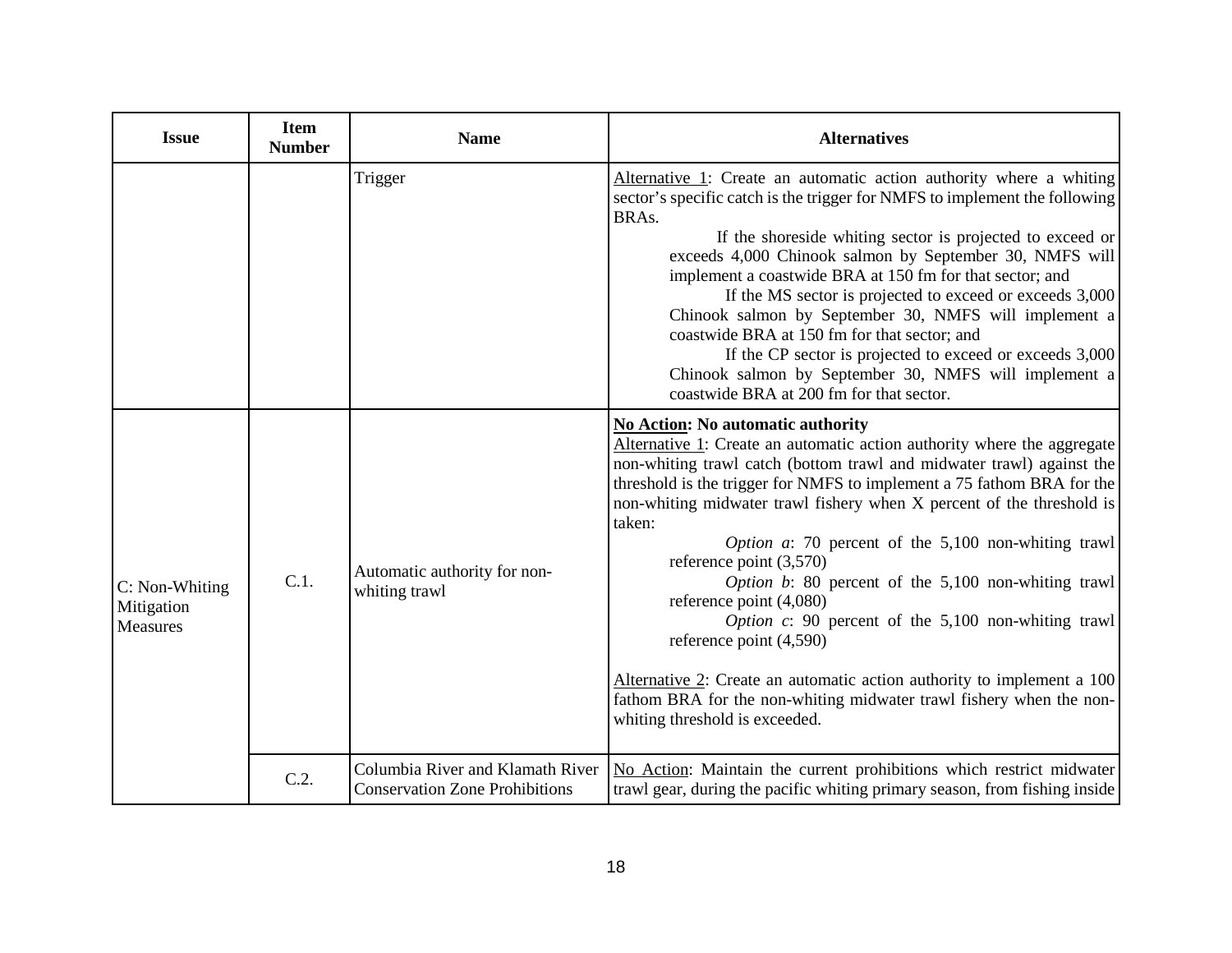| <b>Issue</b>                                    | <b>Item</b><br><b>Number</b> | <b>Name</b>                                                               | <b>Alternatives</b>                                                                                                                                                                                                                                                                                                                                                                                                                                                                                                                                                                                                                                                                                                                                                                                                                |
|-------------------------------------------------|------------------------------|---------------------------------------------------------------------------|------------------------------------------------------------------------------------------------------------------------------------------------------------------------------------------------------------------------------------------------------------------------------------------------------------------------------------------------------------------------------------------------------------------------------------------------------------------------------------------------------------------------------------------------------------------------------------------------------------------------------------------------------------------------------------------------------------------------------------------------------------------------------------------------------------------------------------|
|                                                 |                              | Trigger                                                                   | Alternative 1: Create an automatic action authority where a whiting<br>sector's specific catch is the trigger for NMFS to implement the following<br>BRAs.<br>If the shoreside whiting sector is projected to exceed or<br>exceeds 4,000 Chinook salmon by September 30, NMFS will<br>implement a coastwide BRA at 150 fm for that sector; and<br>If the MS sector is projected to exceed or exceeds 3,000<br>Chinook salmon by September 30, NMFS will implement a<br>coastwide BRA at 150 fm for that sector; and<br>If the CP sector is projected to exceed or exceeds 3,000<br>Chinook salmon by September 30, NMFS will implement a<br>coastwide BRA at 200 fm for that sector.                                                                                                                                               |
| C: Non-Whiting<br>Mitigation<br><b>Measures</b> | C.1.                         | Automatic authority for non-<br>whiting trawl                             | <b>No Action: No automatic authority</b><br>Alternative 1: Create an automatic action authority where the aggregate<br>non-whiting trawl catch (bottom trawl and midwater trawl) against the<br>threshold is the trigger for NMFS to implement a 75 fathom BRA for the<br>non-whiting midwater trawl fishery when X percent of the threshold is<br>taken:<br><i>Option a</i> : 70 percent of the $5,100$ non-whiting trawl<br>reference point $(3,570)$<br><i>Option b</i> : 80 percent of the $5,100$ non-whiting trawl<br>reference point (4,080)<br><i>Option c</i> : 90 percent of the $5,100$ non-whiting trawl<br>reference point (4,590)<br>Alternative 2: Create an automatic action authority to implement a 100<br>fathom BRA for the non-whiting midwater trawl fishery when the non-<br>whiting threshold is exceeded. |
|                                                 | C.2.                         | Columbia River and Klamath River<br><b>Conservation Zone Prohibitions</b> | No Action: Maintain the current prohibitions which restrict midwater<br>trawl gear, during the pacific whiting primary season, from fishing inside                                                                                                                                                                                                                                                                                                                                                                                                                                                                                                                                                                                                                                                                                 |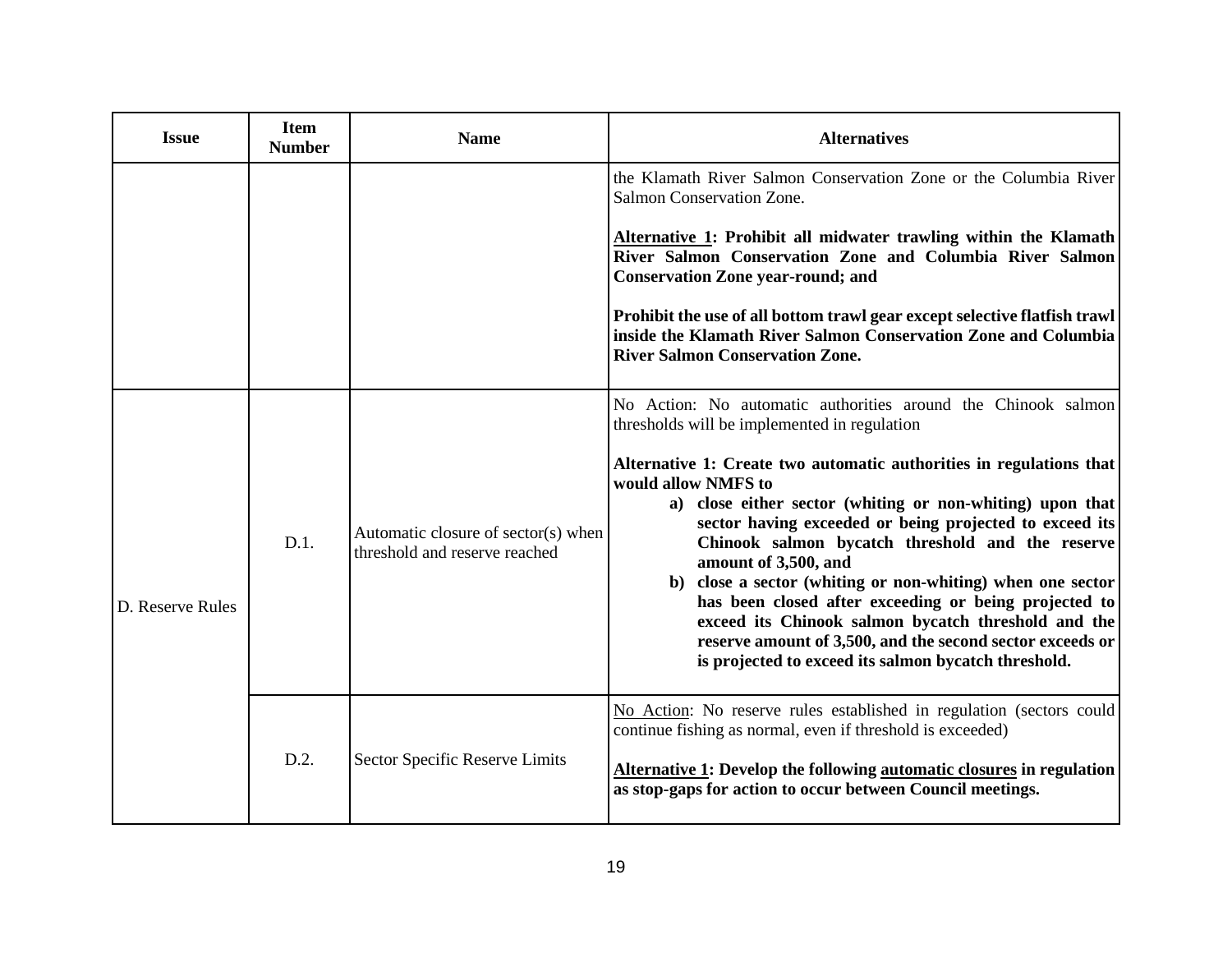| <b>Issue</b>     | <b>Item</b><br><b>Number</b> | <b>Name</b>                                                          | <b>Alternatives</b>                                                                                                                                                                                                                                                                                                                                                                                                                                                                                                                                                                                                                                                                                                |
|------------------|------------------------------|----------------------------------------------------------------------|--------------------------------------------------------------------------------------------------------------------------------------------------------------------------------------------------------------------------------------------------------------------------------------------------------------------------------------------------------------------------------------------------------------------------------------------------------------------------------------------------------------------------------------------------------------------------------------------------------------------------------------------------------------------------------------------------------------------|
|                  |                              |                                                                      | the Klamath River Salmon Conservation Zone or the Columbia River<br>Salmon Conservation Zone.<br>Alternative 1: Prohibit all midwater trawling within the Klamath<br>River Salmon Conservation Zone and Columbia River Salmon<br><b>Conservation Zone year-round; and</b><br>Prohibit the use of all bottom trawl gear except selective flatfish trawl<br>inside the Klamath River Salmon Conservation Zone and Columbia<br><b>River Salmon Conservation Zone.</b>                                                                                                                                                                                                                                                 |
| D. Reserve Rules | $D.1$ .                      | Automatic closure of sector(s) when<br>threshold and reserve reached | No Action: No automatic authorities around the Chinook salmon<br>thresholds will be implemented in regulation<br>Alternative 1: Create two automatic authorities in regulations that<br>would allow NMFS to<br>a) close either sector (whiting or non-whiting) upon that<br>sector having exceeded or being projected to exceed its<br>Chinook salmon bycatch threshold and the reserve<br>amount of 3,500, and<br>b) close a sector (whiting or non-whiting) when one sector<br>has been closed after exceeding or being projected to<br>exceed its Chinook salmon bycatch threshold and the<br>reserve amount of 3,500, and the second sector exceeds or<br>is projected to exceed its salmon bycatch threshold. |
|                  | D.2.                         | Sector Specific Reserve Limits                                       | No Action: No reserve rules established in regulation (sectors could<br>continue fishing as normal, even if threshold is exceeded)<br>Alternative 1: Develop the following automatic closures in regulation<br>as stop-gaps for action to occur between Council meetings.                                                                                                                                                                                                                                                                                                                                                                                                                                          |